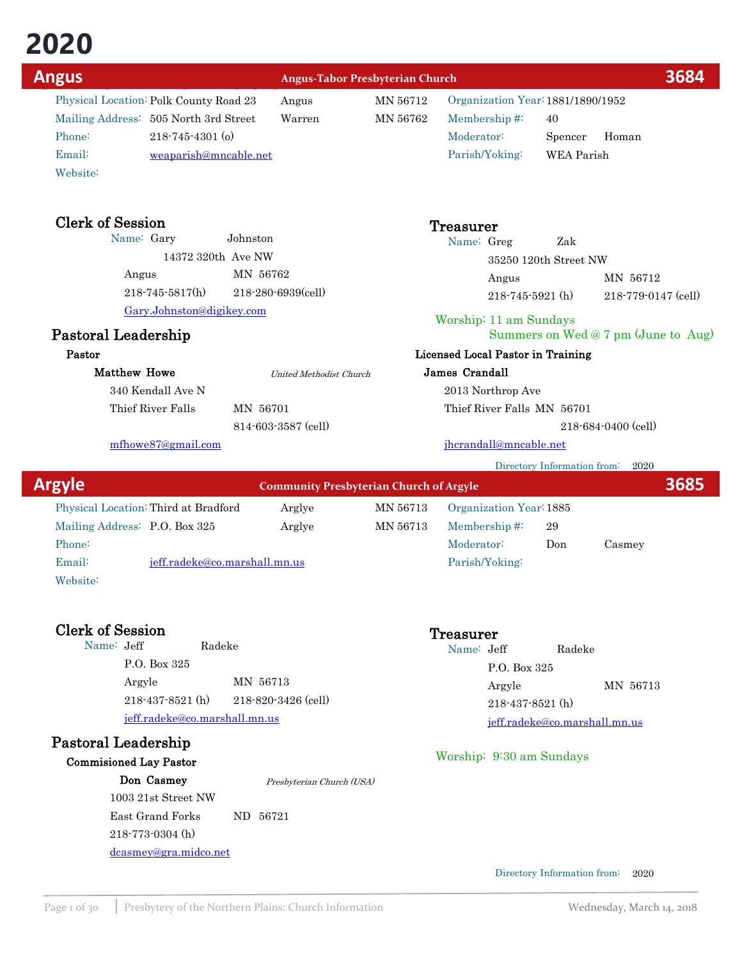**2020 Church Information Church Information Church Information Church Presbyterian Church Physical Location: Polk County Road 23 Angus MN 56712 Organization Year: 1881/1890/1952** Physical Location: Polk County Road 23 Mailing Address: 505 North 3rd Street Warren MN 56762 Email: weaparish@mncable.net Phone: 218-745-4301 (o)

Clerk of Session<br>Name: Gary Johnston Name: Gary

14372 320th Ave NW

218-745-5817(h) 218-280-6939(cell)

MN 56762

814-603-3587 (cell)

United Methodist Church

Membership #: 40 Organization Year:1881/1890/1952 Parish/Yoking: WEA Parish Moderator: Spencer Homan

| Treasurer  |                       |     |                           |
|------------|-----------------------|-----|---------------------------|
| Name: Greg |                       | Zak |                           |
|            | 35250 120th Street NW |     |                           |
|            | Angus                 |     | MN 56712                  |
|            | 218-745-5921 (h)      |     | $218 - 779 - 0147$ (cell) |

Worship: 11 am Sundays

### Summers on Wed @ 7 pm (June to Aug)

### Licensed Local Pastor in Training

### James Crandall

2013 Northrop Ave

Thief River Falls MN 56701

218-684-0400 (cell)

### jhcrandall@mncable.net

Directory Information from: 2020

| <b>Argyle</b> |                               |                                      | <b>Community Presbyterian Church of Argyle</b> |          |                         |     |        | 3685 |
|---------------|-------------------------------|--------------------------------------|------------------------------------------------|----------|-------------------------|-----|--------|------|
|               |                               | Physical Location: Third at Bradford | Arglye                                         | MN 56713 | Organization Year: 1885 |     |        |      |
|               | Mailing Address: P.O. Box 325 |                                      | Arglye                                         | MN 56713 | Membership $\#$         | 29  |        |      |
|               | Phone:                        |                                      |                                                |          | Moderator:              | Don | Casmey |      |
|               | Email:                        | jeff.radeke@co.marshall.mn.us        |                                                |          | Parish/Yoking:          |     |        |      |
|               | Website:                      |                                      |                                                |          |                         |     |        |      |

Pastoral Leadership

Matthew Howe

Angus

340 Kendall Ave N

mfhowe87@gmail.com

Thief River Falls MN 56701

Gary.Johnston@digikey.com

Pastor

Website:

Clerk of Session<br>
Name: Jeff Radeke<br>
Radeke<br>
Radeke<br>
Name: Jeff Radeke Name: Jeff P.O. Box 325 Argyle MN 56713 jeff.radeke@co.marshall.mn.us 218-437-8521 (h) 218-820-3426 (cell)

# Pastoral Leadership

Commisioned Lay Pastor

Don Casmey 1003 21st Street NW East Grand Forks ND 56721 218-773-0304 (h) dcasmey@gra.midco.net Presbyterian Church (USA)

Name: Jeff Radeke P.O. Box 325 Argyle MN 56713 jeff.radeke@co.marshall.mn.us 218-437-8521 (h)

### Worship: 9:30 am Sundays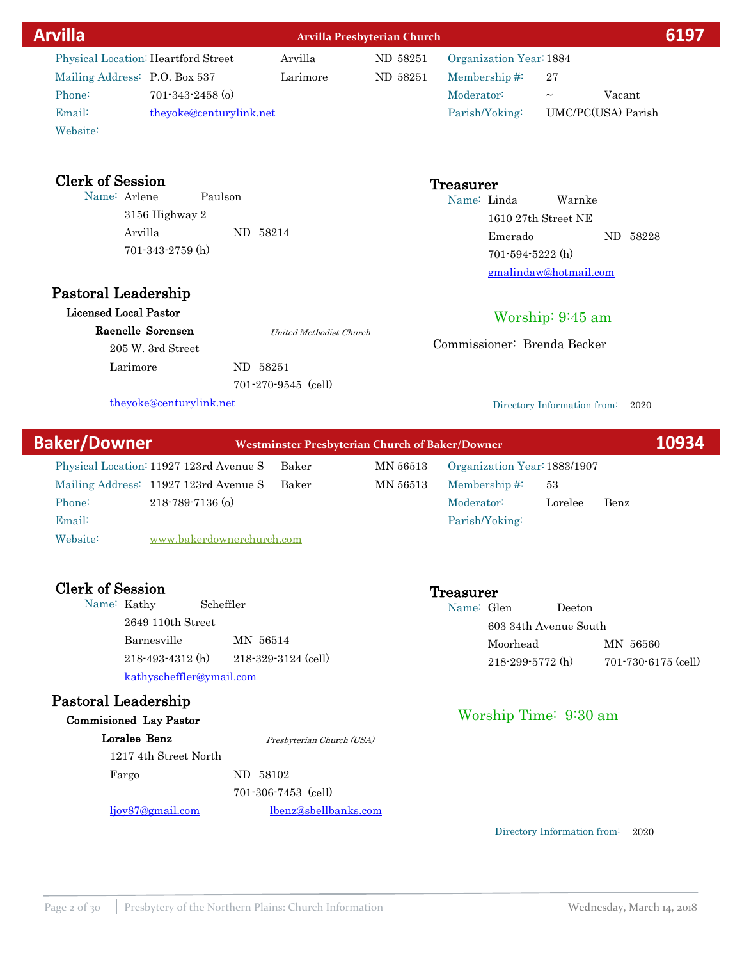| <b>Arvilla</b>                      |                                         | Arvilla Presbyterian Church                            |          |                              |                             | 6197               |
|-------------------------------------|-----------------------------------------|--------------------------------------------------------|----------|------------------------------|-----------------------------|--------------------|
| Physical Location: Heartford Street |                                         | Arvilla                                                | ND 58251 | Organization Year: 1884      |                             |                    |
| Mailing Address: P.O. Box 537       |                                         | Larimore                                               | ND 58251 | Membership#:                 | 27                          |                    |
| Phone:                              | $701 - 343 - 2458$ (o)                  |                                                        |          | Moderator:                   | $\thicksim$                 | Vacant             |
| Email:                              | theyoke@centurylink.net                 |                                                        |          | Parish/Yoking:               |                             | UMC/PC(USA) Parish |
| Website:                            |                                         |                                                        |          |                              |                             |                    |
| <b>Clerk of Session</b>             |                                         |                                                        |          | <b>Treasurer</b>             |                             |                    |
| Name: Arlene                        | Paulson                                 |                                                        |          | Name: Linda                  | Warnke                      |                    |
|                                     | 3156 Highway 2                          |                                                        |          |                              | 1610 27th Street NE         |                    |
| Arvilla                             |                                         | ND 58214                                               |          | Emerado                      |                             | ND 58228           |
|                                     | 701-343-2759 (h)                        |                                                        |          | 701-594-5222 (h)             |                             |                    |
|                                     |                                         |                                                        |          |                              | gmalindaw@hotmail.com       |                    |
| <b>Pastoral Leadership</b>          |                                         |                                                        |          |                              |                             |                    |
| <b>Licensed Local Pastor</b>        |                                         |                                                        |          |                              | Worship: 9:45 am            |                    |
| Raenelle Sorensen                   |                                         | United Methodist Church                                |          |                              |                             |                    |
|                                     | 205 W. 3rd Street                       |                                                        |          | Commissioner: Brenda Becker  |                             |                    |
| Larimore                            |                                         | ND 58251                                               |          |                              |                             |                    |
|                                     |                                         | $701-270-9545$ (cell)                                  |          |                              |                             |                    |
|                                     | theyoke@centurylink.net                 |                                                        |          |                              | Directory Information from: | 2020               |
| <b>Baker/Downer</b>                 |                                         | <b>Westminster Presbyterian Church of Baker/Downer</b> |          |                              |                             | 10934              |
|                                     | Physical Location: 11927 123rd Avenue S | Baker                                                  | MN 56513 | Organization Year: 1883/1907 |                             |                    |
|                                     | Mailing Address: 11927 123rd Avenue S   | Baker                                                  | MN 56513 | Membership#:                 | 53                          |                    |
| Phone:                              | 218-789-7136 (o)                        |                                                        |          | Moderator:                   | Lorelee                     | Benz               |
| Email:                              |                                         |                                                        |          | Parish/Yoking:               |                             |                    |
| Website:                            | www.bakerdownerchurch.com               |                                                        |          |                              |                             |                    |

Clerk of Session<br>
Name: Kathy Scheffler<br>
Scheffler<br>
Scheffler<br>
Name: Gl Name: Kathy 2649 110th Street Barnesville MN 56514 kathyscheffler@ymail.com 218-493-4312 (h) 218-329-3124 (cell)

# Pastoral Leadership

Loralee Benz 1217 4th Street North Fargo ND 58102 701-306-7453 (cell) ljoy87@gmail.com lbenz@sbellbanks.com Presbyterian Church (USA)

Directory Information from: 2020

Name: Glen Deeton

603 34th Avenue South

Worship Time: 9:30 am

Moorhead MN 56560

218-299-5772 (h) 701-730-6175 (cell)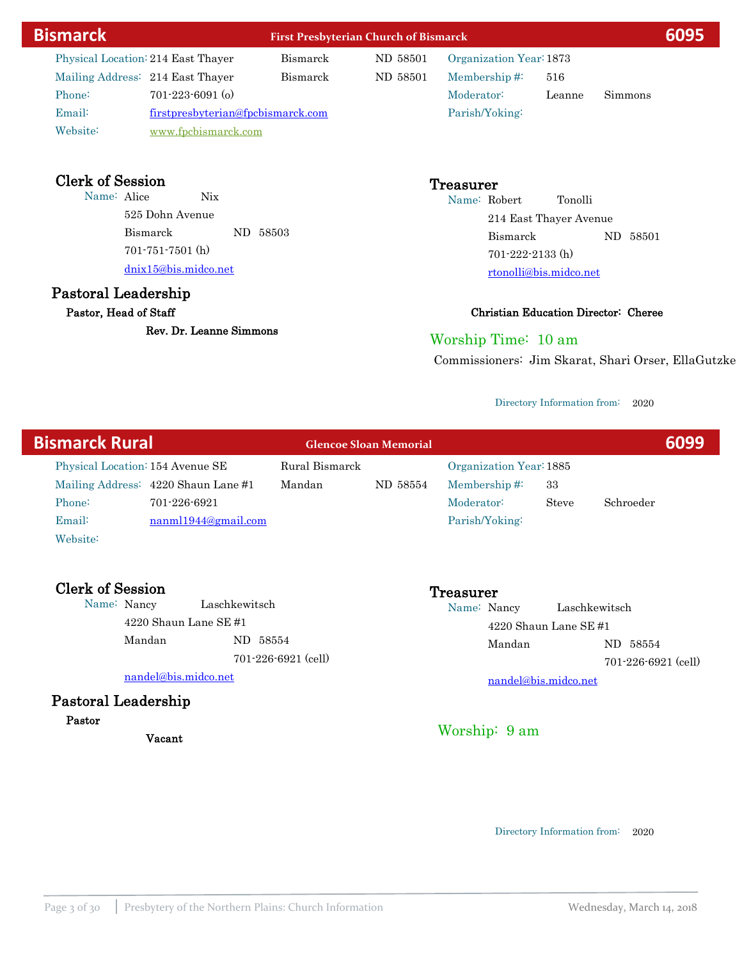| <b>Bismarck</b> |          |                                    | <b>First Presbyterian Church of Bismarck</b> | 6095     |                         |        |                |  |
|-----------------|----------|------------------------------------|----------------------------------------------|----------|-------------------------|--------|----------------|--|
|                 |          | Physical Location: 214 East Thayer | Bismarck                                     | ND 58501 | Organization Year: 1873 |        |                |  |
|                 |          | Mailing Address: 214 East Thayer   | Bismarck                                     | ND 58501 | Membership $#$          | 516    |                |  |
|                 | Phone:   | $701-223-6091$ (o)                 |                                              |          | Moderator:              | Leanne | <b>Simmons</b> |  |
|                 | Email:   | firstpresbyterian@fpcbismarck.com  |                                              |          | Parish/Yoking:          |        |                |  |
|                 | Website: | www.fpcbismarck.com                |                                              |          |                         |        |                |  |

# Clerk of Session<br>
Name: Alice Nix<br>
Name: Police Nix

Name: Alice 525 Dohn Avenue Bismarck ND 58503 dnix15@bis.midco.net 701-751-7501 (h)

# Pastoral Leadership

Pastor, Head of Staff

Rev. Dr. Leanne Simmons

Name: Robert Tonolli 214 East Thayer Avenue Bismarck ND 58501 rtonolli@bis.midco.net 701-222-2133 (h)

### Christian Education Director: Cheree

### Worship Time: 10 am

Commissioners: Jim Skarat, Shari Orser, EllaGutzke

### Directory Information from: 2020

| <b>Bismarck Rural</b>            |                                     |                | <b>Glencoe Sloan Memorial</b> |                         |       |           | 6099 |
|----------------------------------|-------------------------------------|----------------|-------------------------------|-------------------------|-------|-----------|------|
| Physical Location: 154 Avenue SE |                                     | Rural Bismarck |                               | Organization Year: 1885 |       |           |      |
|                                  | Mailing Address: 4220 Shaun Lane #1 | Mandan         | ND 58554                      | Membership $\#$ :       | 33    |           |      |
| Phone:                           | 701-226-6921                        |                |                               | Moderator:              | Steve | Schroeder |      |
| Email:                           | nanml1944@gmail.com                 |                |                               | Parish/Yoking:          |       |           |      |

Website:

Clerk of Session<br>
Name: Nancy Laschkewitsch (Name: Name: Name: Name: Name: Name: Name: Name: Name: Name: Name: Name: Name: Name: Name: Name: Name: Name: Name: Name: Name: Name: Name: Name: Name: Name: Name: Name: Name: Nam Laschkewitsch 4220 Shaun Lane SE #1 Mandan ND 58554 701-226-6921 (cell)

nandel@bis.midco.net

## Pastoral Leadership

### Pastor

Vacant

Name: Nancy Laschkewitsch 4220 Shaun Lane SE #1 Mandan ND 58554 nandel@bis.midco.net 701-226-6921 (cell)

Worship: 9 am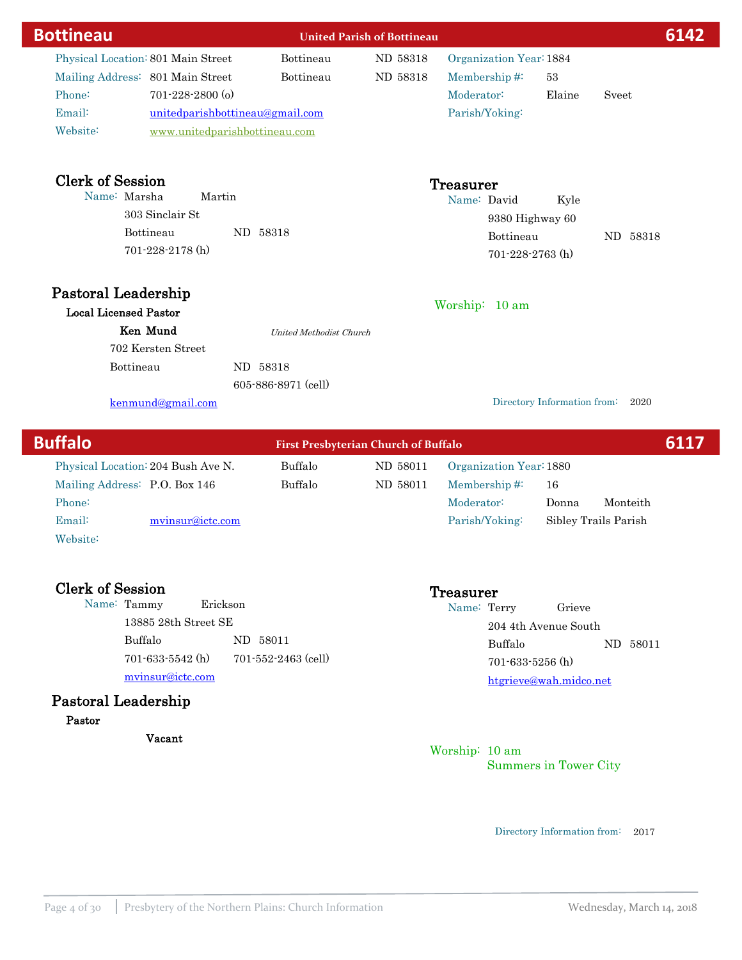| <b>Bottineau</b>                   |                                 | <b>United Parish of Bottineau</b>           |          |                         |                             |          | 6142 |
|------------------------------------|---------------------------------|---------------------------------------------|----------|-------------------------|-----------------------------|----------|------|
| Physical Location: 801 Main Street |                                 | Bottineau                                   | ND 58318 | Organization Year: 1884 |                             |          |      |
| Mailing Address: 801 Main Street   |                                 | Bottineau                                   | ND 58318 | Membership# $\ddot{ }$  | 53                          |          |      |
| Phone:                             | $701 - 228 - 2800$ (o)          |                                             |          | Moderator:              | Elaine                      | Sveet    |      |
| Email:                             | unitedparishbottineau@gmail.com |                                             |          | Parish/Yoking:          |                             |          |      |
| Website:                           | www.unitedparishbottineau.com   |                                             |          |                         |                             |          |      |
| <b>Clerk of Session</b>            |                                 |                                             |          | <b>Treasurer</b>        |                             |          |      |
| Name: Marsha                       | Martin                          |                                             |          | Name: David             | Kyle                        |          |      |
|                                    | 303 Sinclair St                 |                                             |          |                         | 9380 Highway 60             |          |      |
|                                    | Bottineau                       | ND 58318                                    |          | Bottineau               |                             | ND 58318 |      |
|                                    | $701 - 228 - 2178$ (h)          |                                             |          |                         | $701 - 228 - 2763$ (h)      |          |      |
| Pastoral Leadership                |                                 |                                             |          |                         |                             |          |      |
| <b>Local Licensed Pastor</b>       |                                 |                                             |          | Worship: 10 am          |                             |          |      |
| Ken Mund                           |                                 | <b>United Methodist Church</b>              |          |                         |                             |          |      |
|                                    | 702 Kersten Street              |                                             |          |                         |                             |          |      |
| Bottineau                          |                                 | ND 58318                                    |          |                         |                             |          |      |
|                                    |                                 | 605-886-8971 (cell)                         |          |                         |                             |          |      |
|                                    | kenmund@gmail.com               |                                             |          |                         | Directory Information from: | 2020     |      |
| <b>Buffalo</b>                     |                                 | <b>First Presbyterian Church of Buffalo</b> |          |                         |                             |          | 6117 |

| Physical Location: 204 Bush Ave N. |                  | Buffalo | ND 58011 | Organization Year: 1880 |                      |          |  |
|------------------------------------|------------------|---------|----------|-------------------------|----------------------|----------|--|
| Mailing Address: P.O. Box 146      |                  | Buffalo | ND 58011 | Membership $\#$         | 16                   |          |  |
| Phone:                             |                  |         |          | Moderator:              | Donna                | Monteith |  |
| Email:                             | myinsur@ictc.com |         |          | Parish/Yoking:          | Sibley Trails Parish |          |  |
| Website:                           |                  |         |          |                         |                      |          |  |

Clerk of Session<br>
Name: Tammy Erickson<br>
Treasurer<br>
The Name: To Name: Tammy 13885 28th Street SE Buffalo ND 58011 mvinsur@ictc.com 701-633-5542 (h) 701-552-2463 (cell)

# Pastoral Leadership

Pastor

Vacant

Name: Terry Grieve 204 4th Avenue South Buffalo ND 58011 htgrieve@wah.midco.net 701-633-5256 (h)

### Worship: 10 am Summers in Tower City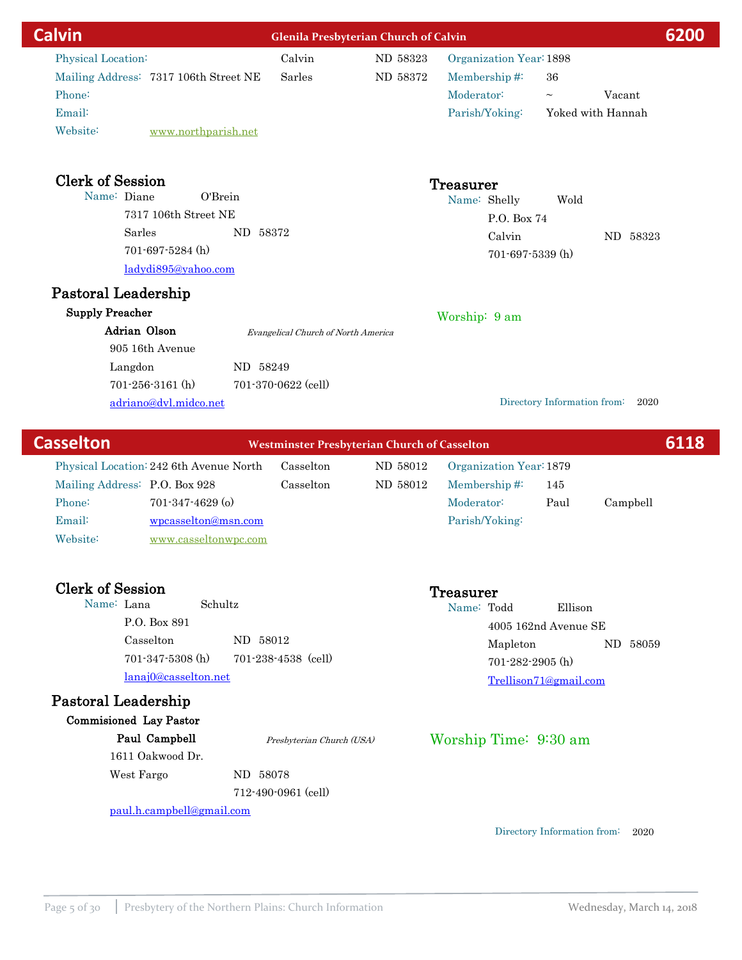| <b>Calvin</b>                                    |                                     | <b>Glenila Presbyterian Church of Calvin</b>        |                         |                             | 6200              |  |
|--------------------------------------------------|-------------------------------------|-----------------------------------------------------|-------------------------|-----------------------------|-------------------|--|
| Physical Location:                               | Calvin                              | ND 58323                                            | Organization Year: 1898 |                             |                   |  |
| Mailing Address: 7317 106th Street NE            | Sarles                              | ND 58372                                            | Membership#:            | 36                          |                   |  |
| Phone:                                           |                                     |                                                     | Moderator:              | $\tilde{\phantom{a}}$       | Vacant            |  |
| Email:                                           |                                     |                                                     | Parish/Yoking:          |                             | Yoked with Hannah |  |
| Website:<br>www.northparish.net                  |                                     |                                                     |                         |                             |                   |  |
| <b>Clerk of Session</b>                          |                                     |                                                     | <b>Treasurer</b>        |                             |                   |  |
| Name: Diane<br>O'Brein                           |                                     |                                                     | Name: Shelly            | Wold                        |                   |  |
| 7317 106th Street NE                             |                                     |                                                     | P.O. Box 74             |                             |                   |  |
| Sarles<br>ND 58372                               |                                     |                                                     | Calvin                  |                             | ND 58323          |  |
| 701-697-5284 (h)                                 |                                     |                                                     | 701-697-5339 (h)        |                             |                   |  |
| ladydi895@yahoo.com                              |                                     |                                                     |                         |                             |                   |  |
| Pastoral Leadership                              |                                     |                                                     |                         |                             |                   |  |
| <b>Supply Preacher</b>                           |                                     |                                                     | Worship: 9 am           |                             |                   |  |
| Adrian Olson                                     | Evangelical Church of North America |                                                     |                         |                             |                   |  |
| 905 16th Avenue                                  |                                     |                                                     |                         |                             |                   |  |
| Langdon<br>ND 58249                              |                                     |                                                     |                         |                             |                   |  |
| $701 - 256 - 3161$ (h)                           | 701-370-0622 (cell)                 |                                                     |                         |                             |                   |  |
| adriano@dvl.midco.net                            |                                     |                                                     |                         | Directory Information from: | 2020              |  |
| <b>Casselton</b>                                 |                                     | <b>Westminster Presbyterian Church of Casselton</b> |                         |                             | 6118              |  |
| Physical Location: 242 6th Avenue North          | Casselton                           | ND 58012                                            | Organization Year: 1879 |                             |                   |  |
| Mailing Address: P.O. Box 928                    | Casselton                           | ND 58012                                            | Membership#:            | 145                         |                   |  |
| Phone:<br>$701 - 347 - 4629$ (o)                 |                                     |                                                     | Moderator:              | Paul                        | Campbell          |  |
| Email:<br>wpcasselton@msn.com                    |                                     |                                                     | Parish/Yoking:          |                             |                   |  |
| Website:<br>www.casseltonwpc.com                 |                                     |                                                     |                         |                             |                   |  |
|                                                  |                                     |                                                     |                         |                             |                   |  |
| <b>Clerk of Session</b><br>Name: Lana<br>Schultz |                                     |                                                     | Treasurer               |                             |                   |  |
| P.O. Box 891                                     |                                     |                                                     | Name: Todd              | Ellison                     |                   |  |
| Casselton<br>ND 58012                            |                                     |                                                     |                         | 4005 162nd Avenue SE        |                   |  |
| 701-347-5308 (h)                                 | 701-238-4538 (cell)                 |                                                     | Mapleton                |                             | ND 58059          |  |
|                                                  |                                     |                                                     | 701-282-2905 (h)        |                             |                   |  |

lanaj0@casselton.net

# Pastoral Leadership

Commisioned Lay Pastor

Paul Campbell 1611 Oakwood Dr.

West Fargo ND 58078 Presbyterian Church (USA)

712-490-0961 (cell)

paul.h.campbell@gmail.com

Directory Information from: 2020

Trellison71@gmail.com

Worship Time: 9:30 am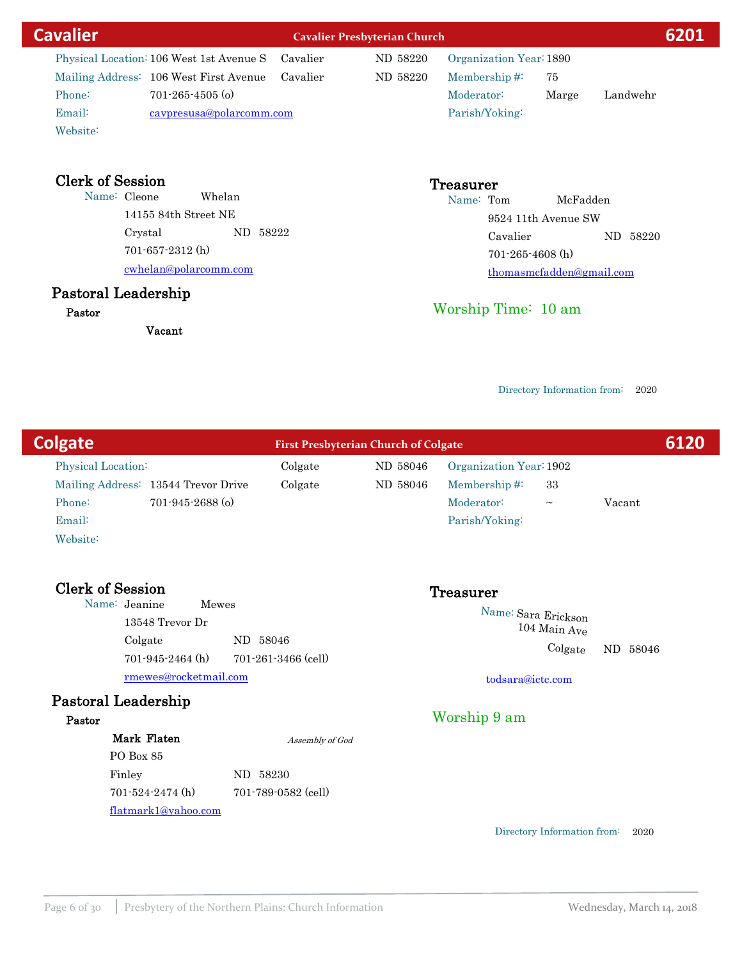| <b>Cavalier</b>                          |                          | <b>Cavalier Presbyterian Church</b> |                         |                          |  |  |
|------------------------------------------|--------------------------|-------------------------------------|-------------------------|--------------------------|--|--|
| Physical Location: 106 West 1st Avenue S | Cavalier                 | ND 58220                            | Organization Year: 1890 |                          |  |  |
| Mailing Address: 106 West First Avenue   | Cavalier                 | ND 58220                            | Membership $#$          | 75                       |  |  |
| $701 - 265 - 4505$ (o)<br>Phone:         |                          |                                     | Moderator:              | Marge<br>Landwehr        |  |  |
| Email:                                   | cavpresusa@polarcomm.com |                                     | Parish/Yoking:          |                          |  |  |
| Website:                                 |                          |                                     |                         |                          |  |  |
| <b>Clerk of Session</b>                  |                          |                                     | <b>Treasurer</b>        |                          |  |  |
| Name: Cleone                             | Whelan                   |                                     | Name: Tom               | McFadden                 |  |  |
| $14155$ 84th Street NE                   |                          |                                     |                         | 9524 11th Avenue SW      |  |  |
| Crystal                                  | ND 58222                 |                                     | Cavalier                | ND 58220                 |  |  |
| $701 - 657 - 2312$ (h)                   |                          |                                     | $701 - 265 - 4608$ (h)  |                          |  |  |
| cwhelan@polarcomm.com                    |                          |                                     |                         | thomasmefaddan@gmail.com |  |  |

### Pastoral Leadership

Pastor

Vacant

Worship Time: 10 am

104 Main Ave

todsara@ictc.com

Worship 9 am

Colgate ND 58046

Directory Information from: 2020

thomasmcfadden@gmail.com

**Colgate First Presbyterian Church of Colgate Fig. 2008** Physical Location: Colgate ND 58046 Mailing Address: 13544 Trevor Drive Colgate ND 58046 Email: Phone: 701-945-2688 (o) Website: Membership #: 33 Organization Year:1902 Parish/Yoking: Clerk of Session<br>
Name: Jeanine Mewes<br>
Mewes Name: Sara Erickson Moderator: ~ Vacant

Name: Jeanine ND 58046 rmewes@rocketmail.com 13548 Trevor Dr Colgate 701-945-2464 (h) 701-261-3466 (cell)

### Pastoral Leadership

### Pastor

Mark Flaten PO Box 85 Finley ND 58230 701-524-2474 (h) 701-789-0582 (cell)

flatmark1@yahoo.com

Assembly of God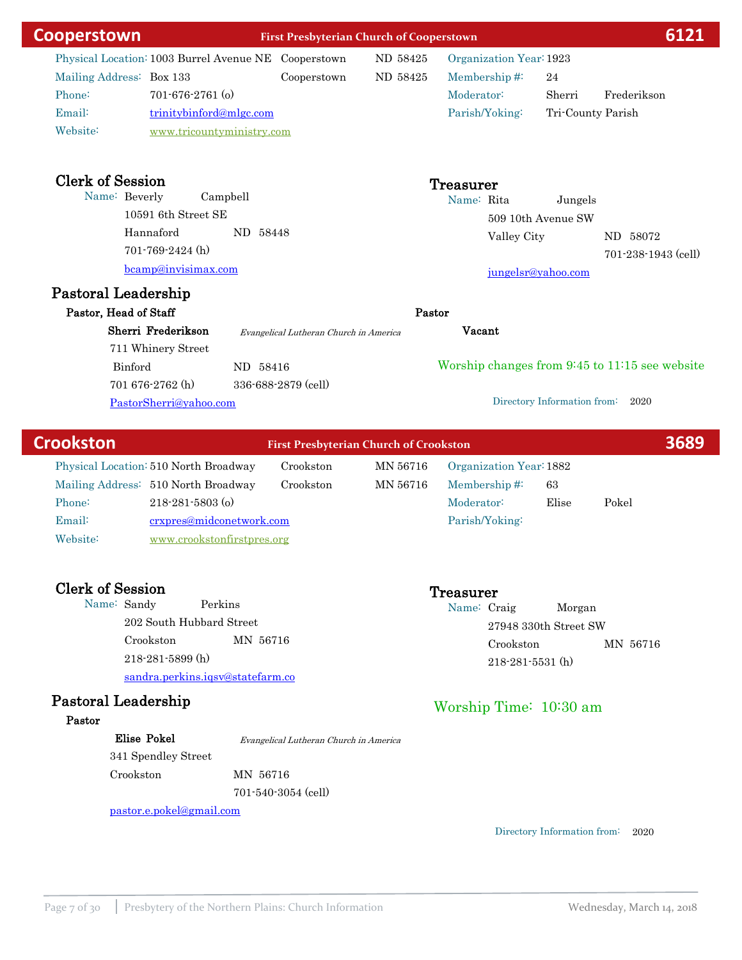| Cooperstown                                          |                           |          | <b>First Presbyterian Church of Cooperstown</b> | 6121     |                         |                             |                                                |
|------------------------------------------------------|---------------------------|----------|-------------------------------------------------|----------|-------------------------|-----------------------------|------------------------------------------------|
| Physical Location: 1003 Burrel Avenue NE Cooperstown |                           |          |                                                 | ND 58425 | Organization Year: 1923 |                             |                                                |
| Mailing Address: Box 133                             |                           |          | Cooperstown                                     | ND 58425 | Membership#:            | 24                          |                                                |
| Phone:                                               | $701 - 676 - 2761$ (o)    |          |                                                 |          | Moderator:              | Sherri                      | Frederikson                                    |
| Email:                                               | trinitybinford@mlgc.com   |          |                                                 |          | Parish/Yoking:          | Tri-County Parish           |                                                |
| Website:                                             | www.tricountyministry.com |          |                                                 |          |                         |                             |                                                |
| <b>Clerk of Session</b>                              |                           |          |                                                 |          | <b>Treasurer</b>        |                             |                                                |
| Name: Beverly                                        |                           | Campbell |                                                 |          | Name: Rita              | Jungels                     |                                                |
|                                                      | 10591 6th Street SE       |          |                                                 |          |                         | 509 10th Avenue SW          |                                                |
|                                                      | Hannaford                 | ND 58448 |                                                 |          | Valley City             |                             | ND 58072                                       |
|                                                      | $701 - 769 - 2424$ (h)    |          |                                                 |          |                         |                             | 701-238-1943 (cell)                            |
|                                                      | bcamp@invisimax.com       |          |                                                 |          |                         | jungelsr@yahoo.com          |                                                |
| Pastoral Leadership                                  |                           |          |                                                 |          |                         |                             |                                                |
| Pastor, Head of Staff                                |                           |          |                                                 | Pastor   |                         |                             |                                                |
|                                                      | Sherri Frederikson        |          | Evangelical Lutheran Church in America          |          | Vacant                  |                             |                                                |
|                                                      | 711 Whinery Street        |          |                                                 |          |                         |                             |                                                |
| Binford                                              |                           | ND 58416 |                                                 |          |                         |                             | Worship changes from 9:45 to 11:15 see website |
|                                                      | 701 676-2762 (h)          |          | 336-688-2879 (cell)                             |          |                         |                             |                                                |
|                                                      | PastorSherri@yahoo.com    |          |                                                 |          |                         | Directory Information from: | 2020                                           |
|                                                      |                           |          |                                                 |          |                         |                             |                                                |
| <b>Crookston</b>                                     |                           |          | <b>First Presbyterian Church of Crookston</b>   |          |                         |                             | 3689                                           |
| Physical Location: 510 North Broadway                |                           |          | Crookston                                       | MN 56716 | Organization Year: 1882 |                             |                                                |
| Mailing Address: 510 North Broadway                  |                           |          | Crookston                                       | MN 56716 | Membership#:            | 63                          |                                                |
| Phone:                                               | $218 - 281 - 5803$ (o)    |          |                                                 |          | Moderator:              | Elise                       | Pokel                                          |

Email: crxpres@midconetwork.com Phone: 218-281-5803 (o) Website: [www.crookstonfirstpres.org](http://www.crookstonfirstpres.org)

Clerk of Session<br>
Name: Sandy Perkins<br>
Treasurer<br>
Name: Creasurer Name: Sandy 202 South Hubbard Street Crookston MN 56716 sandra.perkins.iqsv@statefarm.co 218-281-5899 (h)

# Pastoral Leadership

### Pastor

Elise Pokel

341 Spendley Street Crookston MN 56716 701-540-3054 (cell) Evangelical Lutheran Church in America

pastor.e.pokel@gmail.com

Parish/Yoking:

Name: Craig Morgan 27948 330th Street SW Crookston MN 56716 218-281-5531 (h)

# Worship Time: 10:30 am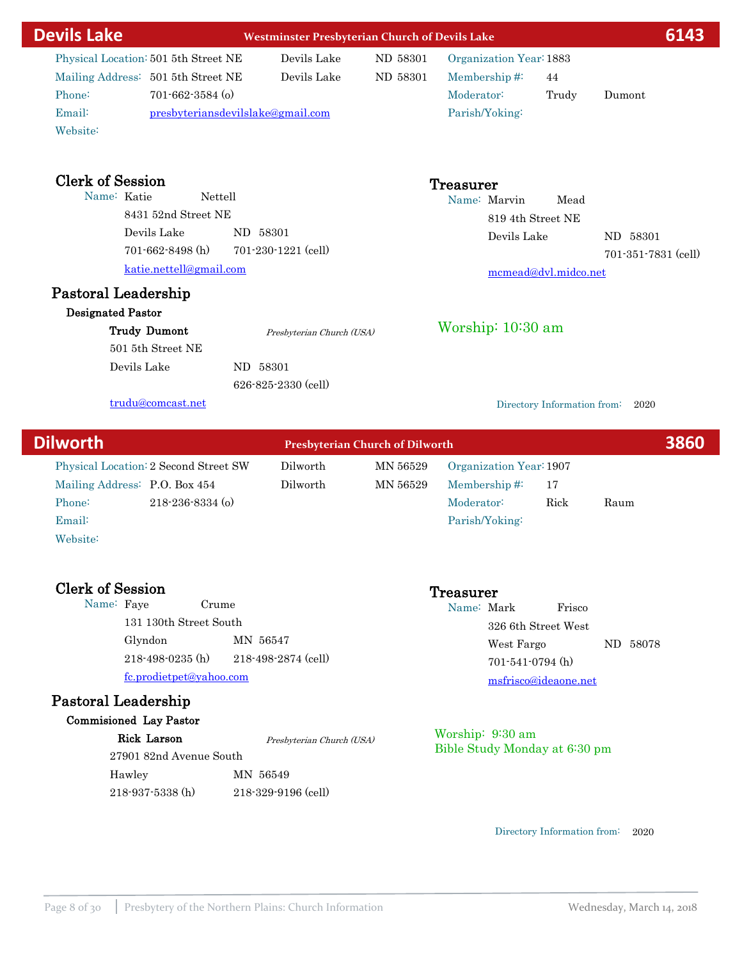| <b>Devils Lake</b>                                                                                                                                                                                                                               | <b>Westminster Presbyterian Church of Devils Lake</b>                                                      |                      |                                                                                      |                              | 6143                            |
|--------------------------------------------------------------------------------------------------------------------------------------------------------------------------------------------------------------------------------------------------|------------------------------------------------------------------------------------------------------------|----------------------|--------------------------------------------------------------------------------------|------------------------------|---------------------------------|
| Physical Location: 501 5th Street NE<br>Mailing Address: 501 5th Street NE<br>Phone:<br>$701 - 662 - 3584$ (o)<br>Email:<br>Website:                                                                                                             | Devils Lake<br>Devils Lake<br>presbyteriansdevilslake@gmail.com                                            | ND 58301<br>ND 58301 | Organization Year: 1883<br>Membership#:<br>Moderator:<br>Parish/Yoking:              | 44<br>Trudy                  | Dumont                          |
| <b>Clerk of Session</b><br>Name: Katie<br>8431 52nd Street NE<br>Devils Lake<br>701-662-8498 (h)<br>katie.nettell@gmail.com<br><b>Pastoral Leadership</b><br><b>Designated Pastor</b><br><b>Trudy Dumont</b><br>501 5th Street NE<br>Devils Lake | Nettell<br>ND 58301<br>701-230-1221 (cell)<br>Presbyterian Church (USA)<br>ND 58301<br>626-825-2330 (cell) |                      | Treasurer<br>Name: Marvin<br>819 4th Street NE<br>Devils Lake<br>Worship: $10:30$ am | Mead<br>mcmead@dvl.midco.net | ND 58301<br>701-351-7831 (cell) |
| trudu@comcast.net                                                                                                                                                                                                                                |                                                                                                            |                      |                                                                                      | Directory Information from:  | 2020                            |
| <b>Dilworth</b>                                                                                                                                                                                                                                  | <b>Presbyterian Church of Dilworth</b>                                                                     |                      |                                                                                      |                              | 3860                            |
| Physical Location: 2 Second Street SW<br>Mailing Address: P.O. Box 454<br>218-236-8334 (o)<br>Phone:<br>Email:<br>Website:<br><b>Clerk of Session</b>                                                                                            | Dilworth<br>Dilworth                                                                                       | MN 56529<br>MN 56529 | Organization Year: 1907<br>Membership#:<br>Moderator:<br>Parish/Yoking:              | 17<br>Rick                   | Raum                            |
| Name: Faye                                                                                                                                                                                                                                       | Crume                                                                                                      |                      | Treasurer<br>Name: Mark                                                              | Frisco                       |                                 |

Name: Faye Crume 131 130th Street South Glyndon MN 56547 fc.prodietpet@yahoo.com 218-498-0235 (h) 218-498-2874 (cell)

# Pastoral Leadership

| Rick Larson             | Presbyterian Church (USA) | Worship: $9:30$ am<br>Bible Study Monday at 6:30 pm |
|-------------------------|---------------------------|-----------------------------------------------------|
| 27901 82nd Avenue South |                           |                                                     |
| Hawley                  | MN 56549                  |                                                     |
| $218-937-5338$ (h)      | $218 - 329 - 9196$ (cell) |                                                     |

Directory Information from: 2020

West Fargo ND 58078

326 6th Street West

msfrisco@ideaone.net 701-541-0794 (h)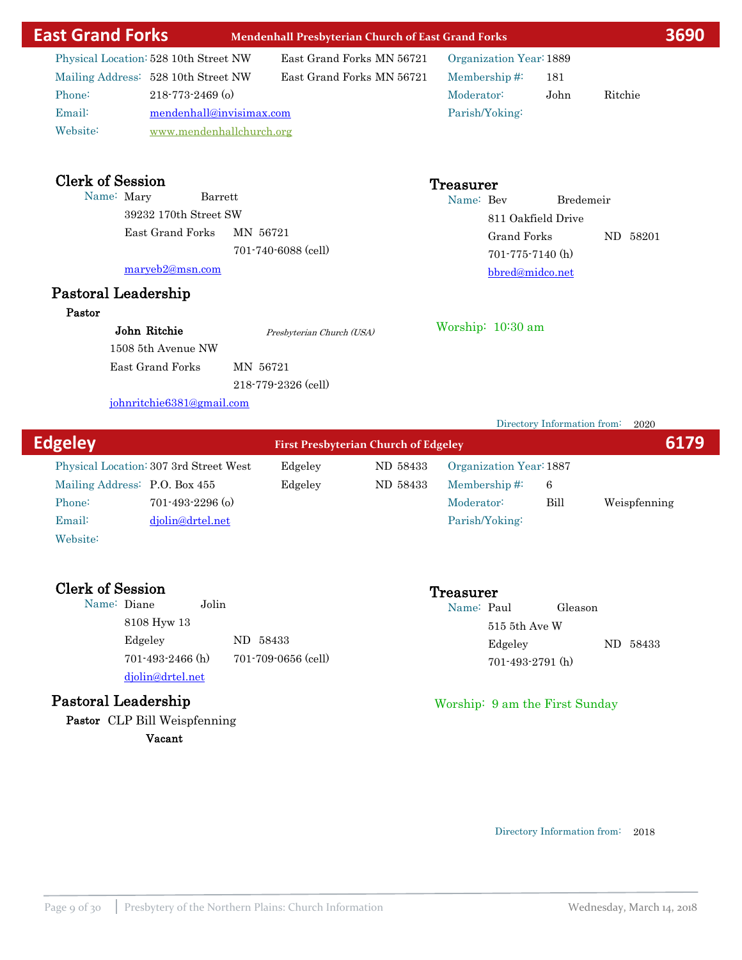| <b>East Grand Forks</b>                                                                                      |                                                                                     | <b>Mendenhall Presbyterian Church of East Grand Forks</b>    |                               |                                                                                |             |                                  | 3690 |
|--------------------------------------------------------------------------------------------------------------|-------------------------------------------------------------------------------------|--------------------------------------------------------------|-------------------------------|--------------------------------------------------------------------------------|-------------|----------------------------------|------|
| Physical Location: 528 10th Street NW<br>Mailing Address: 528 10th Street NW<br>Phone:<br>Email:<br>Website: | $218 - 773 - 2469$ (o)<br>mendenhall@invisimax.com<br>www.mendenhallchurch.org      | East Grand Forks MN 56721<br>East Grand Forks MN 56721       | Moderator:                    | Organization Year: 1889<br>Membership# $\ddot{ }$<br>Parish/Yoking:            | 181<br>John | Ritchie                          |      |
| <b>Clerk of Session</b><br>Name: Mary<br>Pastoral Leadership                                                 | Barrett<br>39232 170th Street SW<br>East Grand Forks<br>maryeb2@msn.com             | MN 56721<br>701-740-6088 (cell)                              | <b>Treasurer</b><br>Name: Bev | 811 Oakfield Drive<br>Grand Forks<br>$701 - 775 - 7140$ (h)<br>bbred@midco.net | Bredemeir   | ND 58201                         |      |
| Pastor                                                                                                       | John Ritchie<br>1508 5th Avenue NW<br>East Grand Forks<br>johnritchie6381@gmail.com | Presbyterian Church (USA)<br>MN 56721<br>218-779-2326 (cell) |                               | Worship: 10:30 am                                                              |             |                                  |      |
|                                                                                                              |                                                                                     |                                                              |                               |                                                                                |             | Directory Information from: 2020 |      |

| <b>Edgeley</b>                |                                        |         | <b>First Presbyterian Church of Edgeley</b> |                         |      | 6179         |
|-------------------------------|----------------------------------------|---------|---------------------------------------------|-------------------------|------|--------------|
|                               | Physical Location: 307 3rd Street West | Edgeley | ND 58433                                    | Organization Year: 1887 |      |              |
| Mailing Address: P.O. Box 455 |                                        | Edgeley | ND 58433                                    | Membership $\#$ :       | -6   |              |
| Phone:                        | $701 - 493 - 2296$ (o)                 |         |                                             | Moderator:              | Bill | Weispfenning |
| Email:                        | djolin@drtel.net                       |         |                                             | Parish/Yoking:          |      |              |
|                               |                                        |         |                                             |                         |      |              |

Website:

Clerk of Session<br>
Name: Diane<br>
Jolin
Clerk of Session<br>
Jolin
Clerk of Session<br>
Jolin
Clerk of Session<br>
Jolin
Clerk of Session<br>
Jolin
Clerk of Session
Clerk of Session<br>
Jolin
Clerk of Session
Clerk of Session
Clerk of Sessi Name: Diane 8108 Hyw 13 Edgeley 58433 djolin@drtel.net 701-493-2466 (h) 701-709-0656 (cell)

# Pastoral Leadership

Pastor CLP Bill Weispfenning Vacant

Name: Paul Gleason 515 5th Ave W Edgeley ND 58433 701-493-2791 (h)

### Worship: 9 am the First Sunday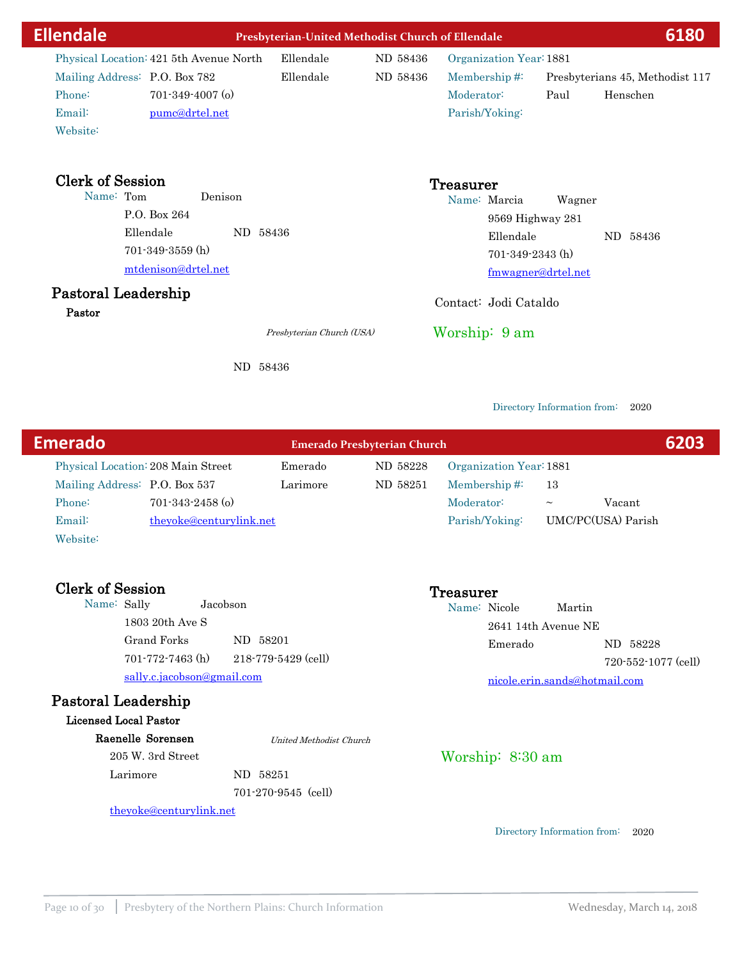| <b>Ellendale</b>                                                                                                                                     | Presbyterian-United Methodist Church of Ellendale |                      |                                                                         |                                                  | 6180                                        |
|------------------------------------------------------------------------------------------------------------------------------------------------------|---------------------------------------------------|----------------------|-------------------------------------------------------------------------|--------------------------------------------------|---------------------------------------------|
| Physical Location: 421 5th Avenue North<br>Mailing Address: P.O. Box 782<br>Phone:<br>$701 - 349 - 4007$ (o)<br>Email:<br>pumc@drtel.net<br>Website: | Ellendale<br>Ellendale                            | ND 58436<br>ND 58436 | Organization Year: 1881<br>Membership#:<br>Moderator:<br>Parish/Yoking: | Paul                                             | Presbyterians 45, Methodist 117<br>Henschen |
| <b>Clerk of Session</b><br>Name: Tom<br>Denison<br>P.O. Box 264<br>Ellendale<br>$701 - 349 - 3559$ (h)<br>mtdenison@drtel.net<br>Pastoral Leadership | ND 58436                                          |                      | Treasurer<br>Name: Marcia<br>Ellendale<br>$701-349-2343$ (h)            | Wagner<br>9569 Highway 281<br>fmwagner@drtel.net | ND 58436                                    |
| Pastor                                                                                                                                               | Presbyterian Church (USA)                         |                      | Contact: Jodi Cataldo<br>Worship: 9 am                                  |                                                  |                                             |
|                                                                                                                                                      | ND 58436                                          |                      |                                                                         |                                                  |                                             |

| <b>Emerado</b> |                                                                |                                    | <b>Emerado Presbyterian Church</b> |          |                         |        |                    | 6203 |
|----------------|----------------------------------------------------------------|------------------------------------|------------------------------------|----------|-------------------------|--------|--------------------|------|
|                |                                                                | Physical Location: 208 Main Street | Emerado                            | ND 58228 | Organization Year: 1881 |        |                    |      |
|                | Mailing Address: P.O. Box 537                                  |                                    | Larimore                           | ND 58251 | Membership# $\ddot{ }$  | 13     |                    |      |
|                | Phone:                                                         | $701 - 343 - 2458$ (o)             |                                    |          | Moderator:              | $\sim$ | Vacant             |      |
|                | Email:                                                         | theyoke@centurylink.net            |                                    |          | Parish/Yoking:          |        | UMC/PC(USA) Parish |      |
|                | $W_{\alpha}$ $\lambda$ $\lambda$ $\lambda$ $\lambda$ $\lambda$ |                                    |                                    |          |                         |        |                    |      |

| website. |  |  |
|----------|--|--|
|          |  |  |
|          |  |  |

| <b>Clerk of Session</b> |                            |                                | Treasurer |                               |        |                     |
|-------------------------|----------------------------|--------------------------------|-----------|-------------------------------|--------|---------------------|
| Name: Sally             |                            | Jacobson                       |           | Name: Nicole                  | Martin |                     |
|                         | 1803 20th Ave S            |                                |           | 2641 14th Avenue NE           |        |                     |
|                         | Grand Forks                | ND 58201                       |           | Emerado                       |        | ND 58228            |
|                         | $701 - 772 - 7463$ (h)     | 218-779-5429 (cell)            |           |                               |        | 720-552-1077 (cell) |
|                         | sally.c.jacobson@gmail.com |                                |           | nicole.erin.sands@hotmail.com |        |                     |
|                         | Pastoral Leadership        |                                |           |                               |        |                     |
|                         | Licensed Local Pastor      |                                |           |                               |        |                     |
|                         | Raenelle Sorensen          | <b>United Methodist Church</b> |           |                               |        |                     |
|                         | 205 W. 3rd Street          |                                |           | Worship: $8:30$ am            |        |                     |

Directory Information from: 2020

Larimore ND 58251

theyoke@centurylink.net

701-270-9545 (cell)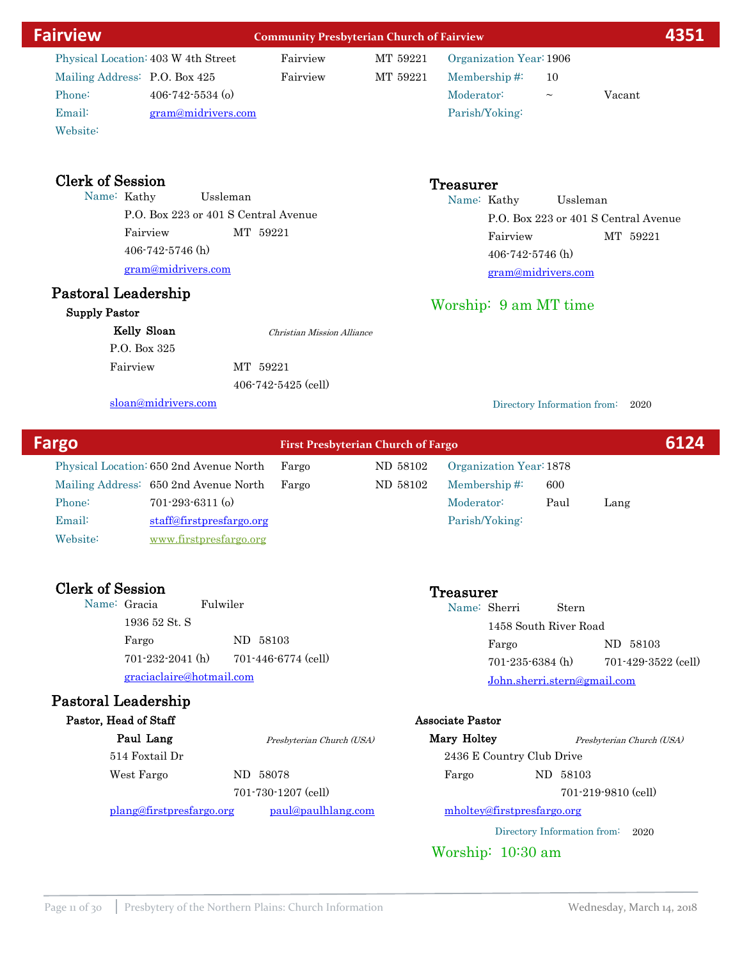| <b>Fairview</b>                                                                                                                                                                                  | <b>Community Presbyterian Church of Fairview</b> |                      |                                                                                                                         |                   | 4351                                             |
|--------------------------------------------------------------------------------------------------------------------------------------------------------------------------------------------------|--------------------------------------------------|----------------------|-------------------------------------------------------------------------------------------------------------------------|-------------------|--------------------------------------------------|
| Physical Location: 403 W 4th Street<br>Mailing Address: P.O. Box 425<br>Phone:<br>$406 - 742 - 5534$ (o)<br>Email:<br>gram@midrivers.com<br>Website:                                             | Fairview<br>Fairview                             | MT 59221<br>MT 59221 | Organization Year: 1906<br>Membership#:<br>Moderator:<br>Parish/Yoking:                                                 | 10<br>$\thicksim$ | Vacant                                           |
| <b>Clerk of Session</b><br>Name: Kathy<br>P.O. Box 223 or 401 S Central Avenue<br>Fairview<br>$406 - 742 - 5746$ (h)<br>gram@midrivers.com<br>Pastoral Leadership<br><b>Supply Pastor</b>        | Ussleman<br>MT 59221                             |                      | <b>Treasurer</b><br>Name: Kathy<br>Fairview<br>$406 - 742 - 5746$ (h)<br>gram@midrivers.com<br>Worship: 9 am MT time    | Ussleman          | P.O. Box 223 or 401 S Central Avenue<br>MT 59221 |
| Kelly Sloan<br>P.O. Box 325                                                                                                                                                                      | Christian Mission Alliance                       |                      |                                                                                                                         |                   |                                                  |
| Fairview                                                                                                                                                                                         | MT 59221                                         |                      |                                                                                                                         |                   |                                                  |
| sloan@midrivers.com                                                                                                                                                                              | $406 - 742 - 5425$ (cell)                        |                      | Directory Information from:                                                                                             |                   | 2020                                             |
|                                                                                                                                                                                                  |                                                  |                      |                                                                                                                         |                   |                                                  |
| Fargo                                                                                                                                                                                            | <b>First Presbyterian Church of Fargo</b>        |                      |                                                                                                                         |                   | 6124                                             |
| Physical Location: 650 2nd Avenue North<br>Mailing Address: 650 2nd Avenue North<br>$701 - 293 - 6311$ (o)<br>Phone:<br>Email:<br>staff@firstpresfargo.org<br>Website:<br>www.firstpresfargo.org | Fargo<br>Fargo                                   | ND 58102<br>ND 58102 | Organization Year: 1878<br>Membership#:<br>Moderator:<br>Parish/Yoking:                                                 | 600<br>Paul       | Lang                                             |
| <b>Clerk of Session</b><br>Fulwiler<br>Name: Gracia<br>1936 52 St. S<br>Fargo<br>$701 - 232 - 2041$ (h)<br>graciaclaire@hotmail.com<br>Pastoral Leadership                                       | ND 58103<br>701-446-6774 (cell)                  |                      | <b>Treasurer</b><br>Name: Sherri<br>1458 South River Road<br>Fargo<br>$701-235-6384$ (h)<br>John.sherri.stern@gmail.com | Stern             | ND 58103<br>701-429-3522 (cell)                  |
| Pastor, Head of Staff<br>Paul Lang<br>514 Foxtail Dr<br>West Fargo                                                                                                                               | Presbyterian Church (USA)<br>ND 58078            |                      | <b>Associate Pastor</b><br>Mary Holtey<br>2436 E Country Club Drive<br>Fargo                                            | ND 58103          | Presbyterian Church (USA)                        |
|                                                                                                                                                                                                  | 701-730-1207 (cell)                              |                      |                                                                                                                         |                   | 701-219-9810 (cell)                              |
| plang@firstpresfargo.org                                                                                                                                                                         | paul@paulhlang.com                               |                      | mholtey@firstpresfargo.org                                                                                              |                   |                                                  |
|                                                                                                                                                                                                  |                                                  |                      | Directory Information from:<br>Worship: 10:30 am                                                                        |                   | 2020                                             |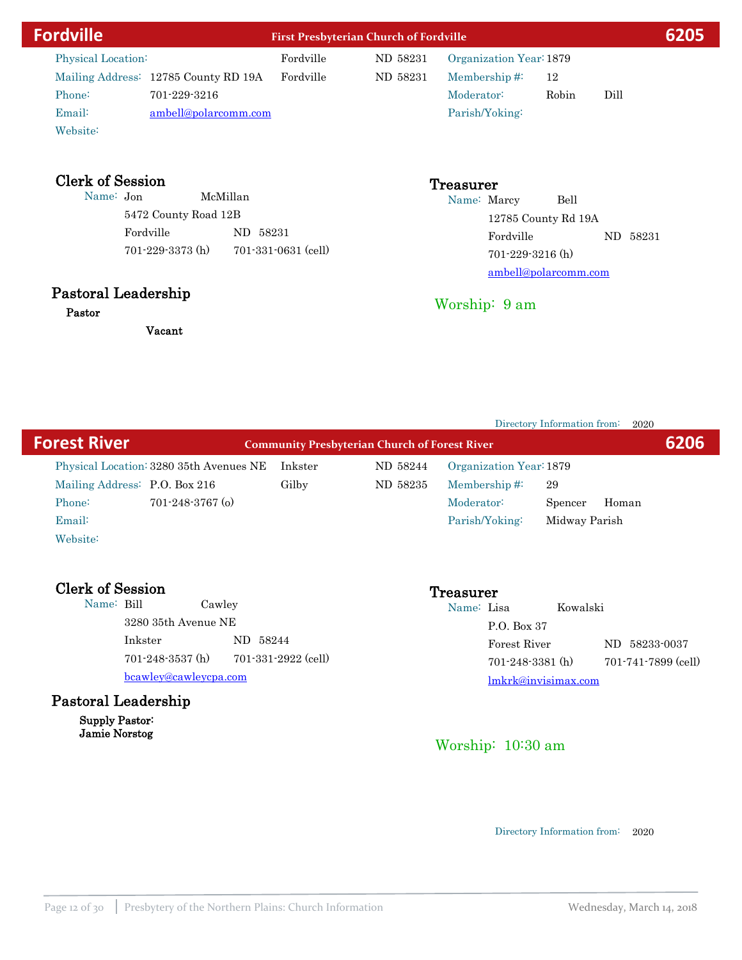| <b>Fordville</b>                     |                        |          |                     | <b>First Presbyterian Church of Fordville</b> |                                 |                        |                      |      | 6205     |
|--------------------------------------|------------------------|----------|---------------------|-----------------------------------------------|---------------------------------|------------------------|----------------------|------|----------|
| Physical Location:                   |                        |          | Fordville           | ND 58231                                      | Organization Year: 1879         |                        |                      |      |          |
| Mailing Address: 12785 County RD 19A |                        |          | Fordville           | ND 58231                                      | Membership#:                    |                        | 12                   |      |          |
| Phone:                               | 701-229-3216           |          |                     |                                               | Moderator:                      |                        | Robin                | Dill |          |
| Email:                               | ambell@polarcomm.com   |          |                     |                                               | Parish/Yoking:                  |                        |                      |      |          |
| Website:                             |                        |          |                     |                                               |                                 |                        |                      |      |          |
| Name: Jon                            |                        | McMillan |                     |                                               | <b>Treasurer</b><br>Name: Marcy |                        | Bell                 |      |          |
|                                      | 5472 County Road 12B   |          |                     |                                               |                                 |                        | 12785 County Rd 19A  |      |          |
|                                      | Fordville              | ND 58231 |                     |                                               |                                 | Fordville              |                      |      | ND 58231 |
|                                      | $701 - 229 - 3373$ (h) |          | 701-331-0631 (cell) |                                               |                                 | $701 - 229 - 3216$ (h) |                      |      |          |
|                                      |                        |          |                     |                                               |                                 |                        | ambell@polarcomm.com |      |          |
| Pastoral Leadership                  |                        |          |                     |                                               | Worship: 9 am                   |                        |                      |      |          |
| Doobow                               |                        |          |                     |                                               |                                 |                        |                      |      |          |

Directory Information from: 2020 **Forest River Community Presbyterian Church of Forest River Community Presbyterian** Church of Forest River Physical Location: 3280 35th Avenues NE Inkster ND 58244 Mailing Address: P.O. Box 216 Gilby ND 58235 Email: Phone: 701-248-3767 (o) Website: Membership #: 29 Organization Year:1879 Parish/Yoking: Midway Parish Moderator: Spencer Homan

| <b>Clerk of Session</b> |                        |                     | Treasurer  |                        |          |                     |  |
|-------------------------|------------------------|---------------------|------------|------------------------|----------|---------------------|--|
| Name: Bill              |                        | Cawley              | Name: Lisa |                        | Kowalski |                     |  |
|                         | 3280 35th Avenue NE    |                     |            | P.O. Box 37            |          |                     |  |
| Inkster                 |                        | ND 58244            |            | Forest River           |          | ND 58233-0037       |  |
|                         | $701 - 248 - 3537$ (h) | 701-331-2922 (cell) |            | $701 - 248 - 3381$ (h) |          | 701-741-7899 (cell) |  |
|                         | bcawley@cawleycpa.com  |                     |            | lmkrk@invisimax.com    |          |                     |  |
|                         | Pastoral Leadership    |                     |            |                        |          |                     |  |

Supply Pastor: Jamie Norstog

Pastor

Vacant

# Worship: 10:30 am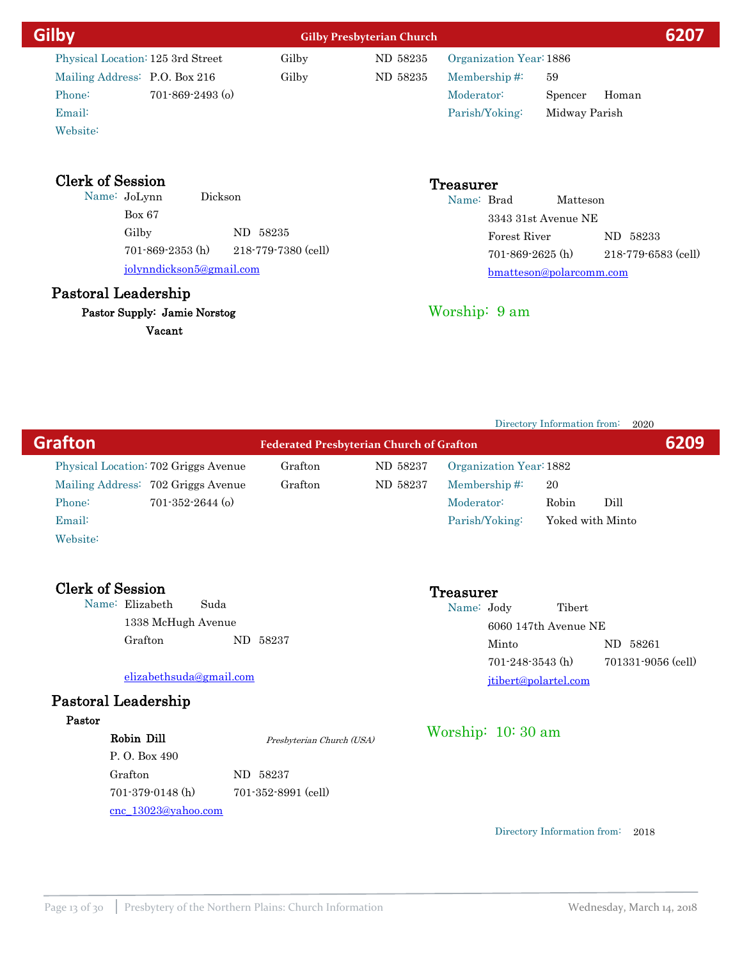| Gilby                             |                          | <b>Gilby Presbyterian Church</b> |                         |                         |                     |
|-----------------------------------|--------------------------|----------------------------------|-------------------------|-------------------------|---------------------|
| Physical Location: 125 3rd Street | Gilby                    | ND 58235                         | Organization Year: 1886 |                         |                     |
| Mailing Address: P.O. Box 216     | Gilby                    | ND 58235                         | Membership $#$          | 59                      |                     |
| Phone:                            | $701 - 869 - 2493$ (o)   |                                  | Moderator:              | Spencer                 | Homan               |
| Email:                            |                          |                                  | Parish/Yoking:          | Midway Parish           |                     |
| Website:                          |                          |                                  |                         |                         |                     |
| <b>Clerk of Session</b>           | Dickson                  |                                  | <b>Treasurer</b>        |                         |                     |
| Name: JoLynn                      |                          |                                  | Name: Brad              | Matteson                |                     |
| Box 67                            |                          |                                  |                         | 3343 31st Avenue NE     |                     |
| Gilby                             | ND 58235                 |                                  | Forest River            |                         | ND 58233            |
| $701 - 869 - 2353$ (h)            | 218-779-7380 (cell)      |                                  | $701 - 869 - 2625$ (h)  |                         | 218-779-6583 (cell) |
|                                   | jolynndickson5@gmail.com |                                  |                         | bmatteson@polarcomm.com |                     |
|                                   |                          |                                  |                         |                         |                     |

# Pastoral Leadership

Pastor Supply: Jamie Norstog

Vacant

Directory Information from: 2020

Worship: 9 am

| <b>Grafton</b>               |                                                                            |      | <b>Federated Presbyterian Church of Grafton</b> |                      |                                                   |                                |                                |
|------------------------------|----------------------------------------------------------------------------|------|-------------------------------------------------|----------------------|---------------------------------------------------|--------------------------------|--------------------------------|
|                              | Physical Location: 702 Griggs Avenue<br>Mailing Address: 702 Griggs Avenue |      | Grafton<br>Grafton                              | ND 58237<br>ND 58237 | Organization Year: 1882<br>Membership# $\ddot{=}$ | 20                             |                                |
| Phone:<br>Email:<br>Website: | $701 - 352 - 2644$ (o)                                                     |      |                                                 |                      | Moderator:<br>Parish/Yoking:                      | Robin                          | Dill<br>Yoked with Minto       |
|                              | <b>Clerk of Session</b><br>Name: Elizabeth<br>1338 McHugh Avenue           | Suda |                                                 |                      | Treasurer<br>Name: Jody                           | Tibert<br>6060 147th Avenue NE |                                |
|                              | Grafton                                                                    |      | ND 58237                                        |                      | Minto                                             | $701 - 248 - 3543$ (h)         | ND 58261<br>701331-9056 (cell) |
|                              | elizabethsuda@gmail.com                                                    |      |                                                 |                      |                                                   | jtibert@polartel.com           |                                |
|                              | Pastoral Leadership                                                        |      |                                                 |                      |                                                   |                                |                                |
| Pastor                       | Robin Dill<br>P.O. Box 490                                                 |      | Presbyterian Church (USA)                       |                      | Worship: $10:30$ am                               |                                |                                |
|                              | Grafton<br>$701-379-0148$ (h)<br>cnc 13023@yahoo.com                       |      | ND 58237<br>701-352-8991 (cell)                 |                      |                                                   |                                |                                |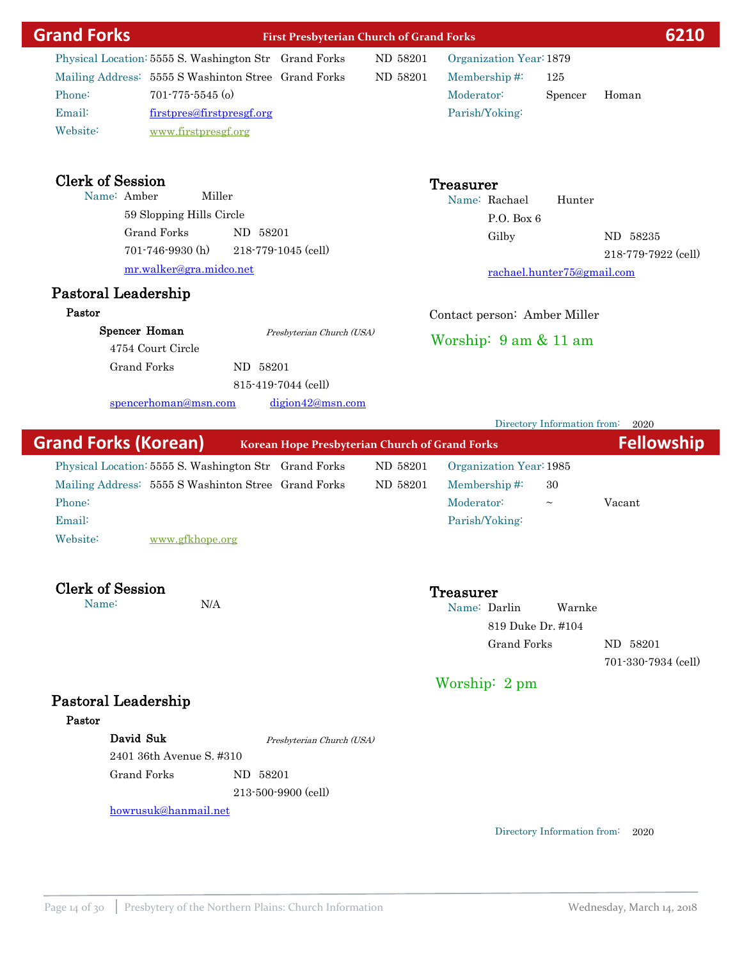| <b>Grand Forks</b>                         | <b>First Presbyterian Church of Grand Forks</b>                                                                                                                                            |                      |                                                                                              | 6210                                                                    |
|--------------------------------------------|--------------------------------------------------------------------------------------------------------------------------------------------------------------------------------------------|----------------------|----------------------------------------------------------------------------------------------|-------------------------------------------------------------------------|
| Phone:<br>Email:<br>Website:               | Physical Location: 5555 S. Washington Str Grand Forks<br>Mailing Address: 5555 S Washinton Stree Grand Forks<br>$701 - 775 - 5545$ (o)<br>firstpres@firstpresgf.org<br>www.firstpresgf.org | ND 58201<br>ND 58201 | Organization Year: 1879<br>Membership#:<br>125<br>Moderator:<br>Parish/Yoking:               | Spencer<br>Homan                                                        |
| <b>Clerk of Session</b><br>Name: Amber     | Miller<br>59 Slopping Hills Circle<br><b>Grand Forks</b><br>ND 58201<br>$701 - 746 - 9930$ (h)<br>218-779-1045 (cell)<br>mr.walker@gra.midco.net                                           |                      | <b>Treasurer</b><br>Name: Rachael<br>P.O. Box 6<br>Gilby                                     | Hunter<br>ND 58235<br>218-779-7922 (cell)<br>rachael.hunter75@gmail.com |
| Pastoral Leadership<br>Pastor              |                                                                                                                                                                                            |                      |                                                                                              |                                                                         |
| Spencer Homan<br><b>Grand Forks</b>        | Presbyterian Church (USA)<br>4754 Court Circle<br>ND 58201<br>815-419-7044 (cell)                                                                                                          |                      | Contact person: Amber Miller<br>Worship: $9 \text{ am } \& 11 \text{ am}$                    |                                                                         |
|                                            | digion42@msn.com<br>spencerhoman@msn.com                                                                                                                                                   |                      |                                                                                              |                                                                         |
|                                            |                                                                                                                                                                                            |                      |                                                                                              | Directory Information from:<br>2020                                     |
| <b>Grand Forks (Korean)</b>                | Korean Hope Presbyterian Church of Grand Forks                                                                                                                                             |                      |                                                                                              | <b>Fellowship</b>                                                       |
| Phone:<br>Email:<br>Website:               | Physical Location: 5555 S. Washington Str Grand Forks<br>Mailing Address: 5555 S Washinton Stree Grand Forks<br>www.gfkhope.org                                                            | ND 58201<br>ND 58201 | Organization Year: 1985<br>Membership#:<br>30<br>Moderator:<br>$\thicksim$<br>Parish/Yoking: | Vacant                                                                  |
| <b>Clerk of Session</b><br>Name:           | N/A                                                                                                                                                                                        |                      | Treasurer<br>Name: Darlin<br>819 Duke Dr. #104<br><b>Grand Forks</b>                         | Warnke<br>ND 58201<br>701-330-7934 (cell)                               |
|                                            |                                                                                                                                                                                            |                      | Worship: 2 pm                                                                                |                                                                         |
| Pastoral Leadership<br>Pastor<br>David Suk | Presbyterian Church (USA)                                                                                                                                                                  |                      |                                                                                              |                                                                         |
|                                            | 2401 36th Avenue S. #310                                                                                                                                                                   |                      |                                                                                              |                                                                         |
| <b>Grand Forks</b>                         | ND 58201<br>213-500-9900 (cell)                                                                                                                                                            |                      |                                                                                              |                                                                         |
|                                            |                                                                                                                                                                                            |                      |                                                                                              |                                                                         |
|                                            | howrusuk@hanmail.net                                                                                                                                                                       |                      |                                                                                              | Directory Information from:<br>2020                                     |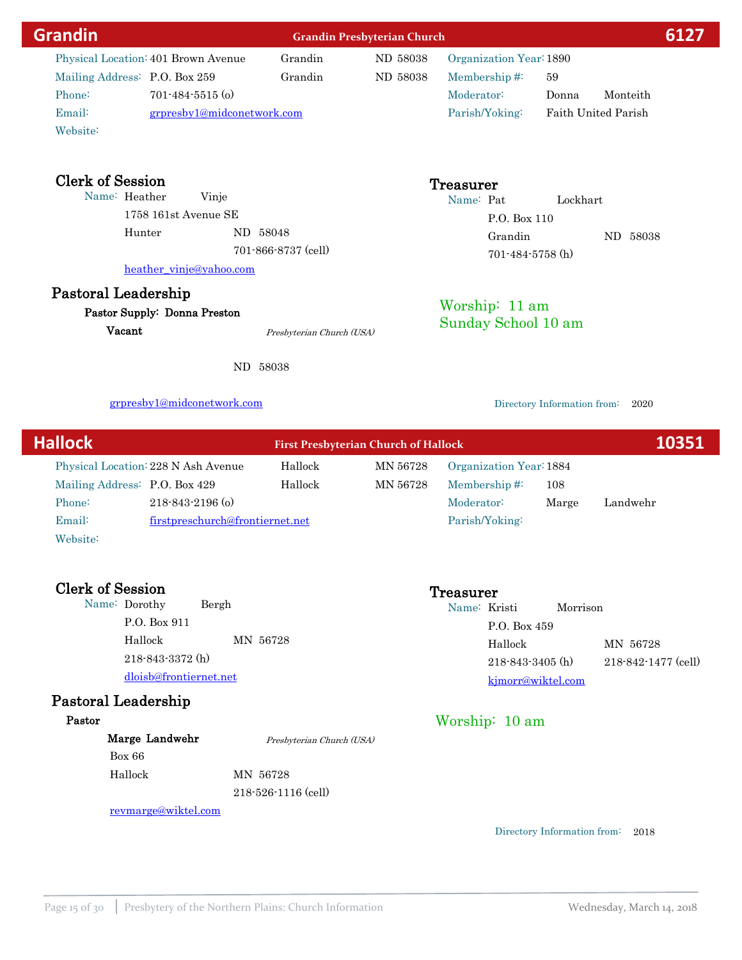| <b>Grandin</b>                      |                                 | <b>Grandin Presbyterian Church</b>          |                         |                             | 6127                |
|-------------------------------------|---------------------------------|---------------------------------------------|-------------------------|-----------------------------|---------------------|
| Physical Location: 401 Brown Avenue | Grandin                         | ND 58038                                    | Organization Year: 1890 |                             |                     |
| Mailing Address: P.O. Box 259       | Grandin                         | ND 58038                                    | Membership#:            | 59                          |                     |
| Phone:<br>$701 - 484 - 5515$ (o)    |                                 |                                             | Moderator:              | Donna                       | Monteith            |
| Email:                              | grpresby1@midconetwork.com      |                                             | Parish/Yoking:          |                             | Faith United Parish |
| Website:                            |                                 |                                             |                         |                             |                     |
| <b>Clerk of Session</b>             |                                 |                                             | <b>Treasurer</b>        |                             |                     |
| Name: Heather<br>Vinje              |                                 |                                             | Name: Pat               | Lockhart                    |                     |
| 1758 161st Avenue SE                |                                 |                                             | P.O. Box 110            |                             |                     |
| Hunter                              | ND 58048                        |                                             | Grandin                 |                             | ND 58038            |
|                                     | 701-866-8737 (cell)             |                                             | $701 - 484 - 5758$ (h)  |                             |                     |
| heather_vinje@yahoo.com             |                                 |                                             |                         |                             |                     |
| Pastoral Leadership                 |                                 |                                             |                         |                             |                     |
| Pastor Supply: Donna Preston        |                                 |                                             | Worship: 11 am          |                             |                     |
| Vacant                              | Presbyterian Church (USA)       |                                             | Sunday School 10 am     |                             |                     |
|                                     | ND 58038                        |                                             |                         |                             |                     |
|                                     |                                 |                                             |                         |                             |                     |
| grpresby1@midconetwork.com          |                                 |                                             |                         | Directory Information from: | 2020                |
| <b>Hallock</b>                      |                                 | <b>First Presbyterian Church of Hallock</b> |                         |                             | 10351               |
| Physical Location: 228 N Ash Avenue | Hallock                         | MN 56728                                    | Organization Year: 1884 |                             |                     |
| Mailing Address: P.O. Box 429       | Hallock                         | MN 56728                                    | Membership#:            | 108                         |                     |
| Phone:<br>$218 - 843 - 2196$ (o)    |                                 |                                             | Moderator:              | Marge                       | Landwehr            |
| Email:                              | firstpreschurch@frontiernet.net |                                             | Parish/Yoking:          |                             |                     |
| Website:                            |                                 |                                             |                         |                             |                     |
| <b>Clerk of Session</b>             |                                 |                                             | Treasurer               |                             |                     |
| Name: Dorothy<br>Bergh              |                                 |                                             | Name: Kristi            | Morrison                    |                     |
| P.O. Box 911                        |                                 |                                             | P.O. Box 459            |                             |                     |
| Hallock                             | MN 56728                        |                                             | Hallock                 |                             | MN 56728            |
| 218-843-3372 (h)                    |                                 |                                             | $218 - 843 - 3405$ (h)  |                             | 218-842-1477 (cell) |
| dloisb@frontiernet.net              |                                 |                                             |                         | kjmorr@wiktel.com           |                     |
| <b>Pastoral Leadership</b>          |                                 |                                             |                         |                             |                     |
| Pastor                              |                                 |                                             | Worship: 10 am          |                             |                     |
| Marge Landwehr                      | Presbyterian Church (USA)       |                                             |                         |                             |                     |
| Box 66                              |                                 |                                             |                         |                             |                     |
| Hallock                             | MN 56728                        |                                             |                         |                             |                     |

revmarge@wiktel.com

218-526-1116 (cell)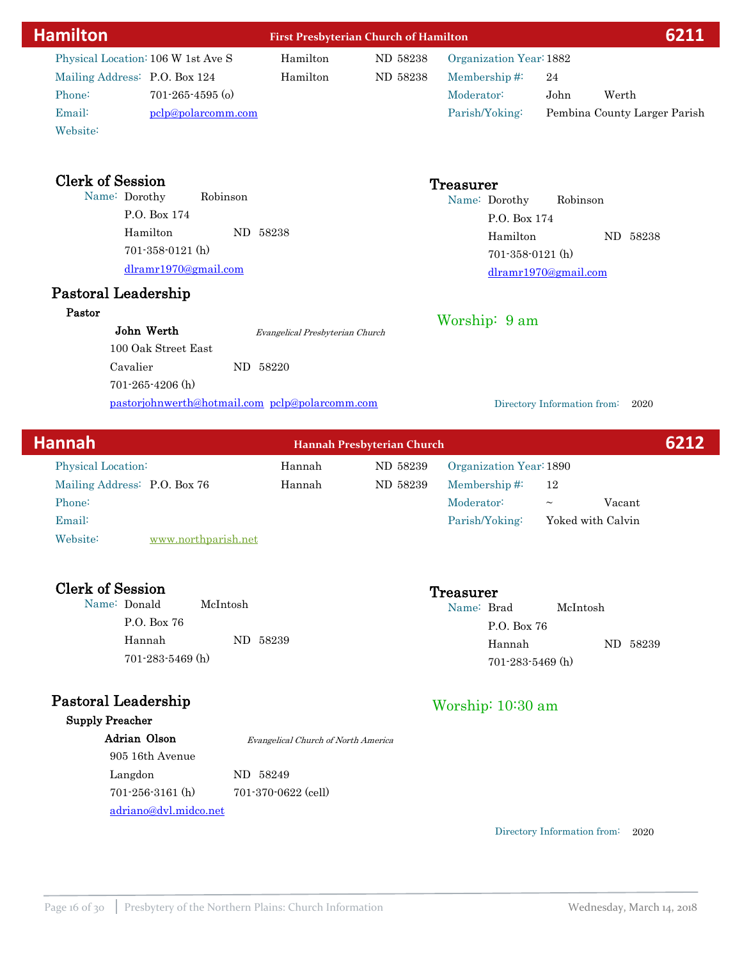| <b>Hamilton</b>                    |                                                | <b>First Presbyterian Church of Hamilton</b> |                         |                                     |  |  |
|------------------------------------|------------------------------------------------|----------------------------------------------|-------------------------|-------------------------------------|--|--|
| Physical Location: 106 W 1st Ave S | Hamilton                                       | ND 58238                                     | Organization Year: 1882 |                                     |  |  |
| Mailing Address: P.O. Box 124      | Hamilton                                       | ND 58238                                     | Membership#:            | 24                                  |  |  |
| Phone:<br>$701 - 265 - 4595$ (o)   |                                                |                                              | Moderator:              | John<br>Werth                       |  |  |
| Email:<br>pclp@polarcomm.com       |                                                |                                              | Parish/Yoking:          | Pembina County Larger Parish        |  |  |
| Website:                           |                                                |                                              |                         |                                     |  |  |
| <b>Clerk of Session</b>            |                                                |                                              | <b>Treasurer</b>        |                                     |  |  |
| Name: Dorothy                      | Robinson                                       |                                              | Name: Dorothy           | Robinson                            |  |  |
| P.O. Box 174                       |                                                |                                              | P.O. Box 174            |                                     |  |  |
| Hamilton                           | ND 58238                                       |                                              | Hamilton                | ND 58238                            |  |  |
| $701-358-0121$ (h)                 |                                                |                                              | 701-358-0121 (h)        |                                     |  |  |
| dlramr1970@gmail.com               |                                                |                                              |                         | dlramr1970@gmail.com                |  |  |
| Pastoral Leadership                |                                                |                                              |                         |                                     |  |  |
| Pastor                             |                                                |                                              |                         |                                     |  |  |
| John Werth                         | Evangelical Presbyterian Church                |                                              | Worship: 9 am           |                                     |  |  |
| 100 Oak Street East                |                                                |                                              |                         |                                     |  |  |
| Cavalier                           | ND 58220                                       |                                              |                         |                                     |  |  |
| 701-265-4206 (h)                   |                                                |                                              |                         |                                     |  |  |
|                                    | pastorjohnwerth@hotmail.com pclp@polarcomm.com |                                              |                         | Directory Information from:<br>2020 |  |  |
|                                    |                                                |                                              |                         |                                     |  |  |
| <b>Hannah</b>                      |                                                | Hannah Presbyterian Church                   |                         | 6212                                |  |  |
| Physical Location:                 | Hannah                                         | ND 58239                                     | Organization Year: 1890 |                                     |  |  |
| Mailing Address: P.O. Box 76       | Hannah                                         | ND 58239                                     | Membership#:            | 12                                  |  |  |
| Phone:                             |                                                |                                              | Moderator:              | Vacant<br>$\thicksim$               |  |  |
| Email:                             |                                                |                                              | Parish/Yoking:          | Yoked with Calvin                   |  |  |
| Website:<br>www.northparish.net    |                                                |                                              |                         |                                     |  |  |
|                                    |                                                |                                              |                         |                                     |  |  |
| <b>Clerk of Session</b>            |                                                |                                              | Treasurer               |                                     |  |  |
| Name: Donald                       | McIntosh                                       |                                              | Name: Brad              | McIntosh                            |  |  |
| P.O. Box 76                        |                                                |                                              | P.O. Box 76             |                                     |  |  |
| Hannah                             | ND 58239                                       |                                              | Hannah                  | ND 58239                            |  |  |
| $701 - 283 - 5469$ (h)             |                                                |                                              | 701-283-5469 (h)        |                                     |  |  |
| <b>Pastoral Leadership</b>         |                                                |                                              | Worship: 10:30 am       |                                     |  |  |
| <b>Supply Preacher</b>             |                                                |                                              |                         |                                     |  |  |
| Adrian Olson                       | Evangelical Church of North America            |                                              |                         |                                     |  |  |
| 905 16th Avenue                    |                                                |                                              |                         |                                     |  |  |
| Langdon                            | ND 58249                                       |                                              |                         |                                     |  |  |

701-256-3161 (h) 701-370-0622 (cell)

adriano@dvl.midco.net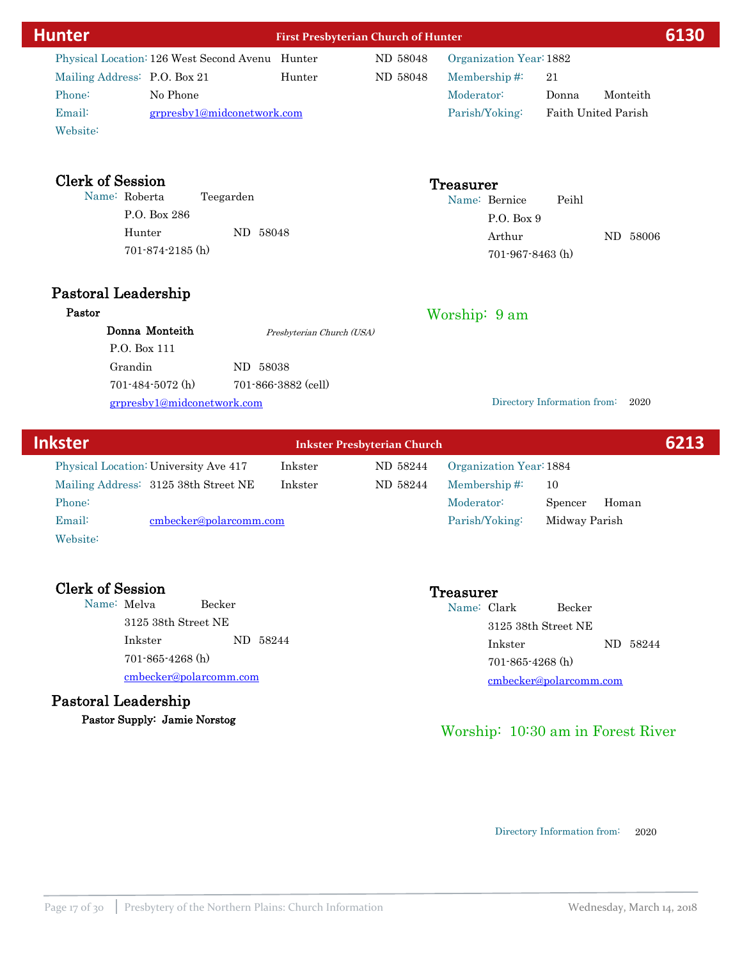| <u>Hunter</u>                                   |                            | <b>First Presbyterian Church of Hunter</b> |                         |                             | 6130                       |
|-------------------------------------------------|----------------------------|--------------------------------------------|-------------------------|-----------------------------|----------------------------|
| Physical Location: 126 West Second Avenu Hunter |                            | ND 58048                                   | Organization Year: 1882 |                             |                            |
| Mailing Address: P.O. Box 21                    | Hunter                     | ND 58048                                   | Membership#:            | 21                          |                            |
| Phone:<br>No Phone                              |                            |                                            | Moderator:              | Donna                       | Monteith                   |
| Email:                                          | grpresby1@midconetwork.com |                                            | Parish/Yoking:          |                             | <b>Faith United Parish</b> |
| Website:                                        |                            |                                            |                         |                             |                            |
| <b>Clerk of Session</b>                         |                            |                                            | Treasurer               |                             |                            |
| Name: Roberta                                   | Teegarden                  |                                            | Name: Bernice           | Peihl                       |                            |
| P.O. Box 286                                    |                            |                                            | P.O. Box 9              |                             |                            |
| Hunter                                          | ND 58048                   |                                            | Arthur                  |                             | ND 58006                   |
| 701-874-2185 (h)                                |                            |                                            | $701 - 967 - 8463$ (h)  |                             |                            |
| Pastoral Leadership                             |                            |                                            |                         |                             |                            |
| Pastor                                          |                            |                                            | Worship: 9 am           |                             |                            |
| Donna Monteith                                  | Presbyterian Church (USA)  |                                            |                         |                             |                            |
| P.O. Box 111                                    |                            |                                            |                         |                             |                            |
| Grandin                                         | ND 58038                   |                                            |                         |                             |                            |
| 701-484-5072 (h)                                | 701-866-3882 (cell)        |                                            |                         |                             |                            |
| grpresby1@midconetwork.com                      |                            |                                            |                         | Directory Information from: | 2020                       |
|                                                 |                            |                                            |                         |                             |                            |

| <b>Inkster</b> |                                       |         | <b>Inkster Presbyterian Church</b> |                         |               |       | 6213 |
|----------------|---------------------------------------|---------|------------------------------------|-------------------------|---------------|-------|------|
|                | Physical Location: University Ave 417 | Inkster | ND 58244                           | Organization Year: 1884 |               |       |      |
|                | Mailing Address: 3125 38th Street NE  | Inkster | ND 58244                           | Membership $\#$ :       | 10            |       |      |
| Phone:         |                                       |         |                                    | Moderator:              | Spencer       | Homan |      |
| Email:         | cmbecker@polarcomm.com                |         |                                    | Parish/Yoking:          | Midway Parish |       |      |
| Website:       |                                       |         |                                    |                         |               |       |      |

# Clerk of Session<br>
Name: Melva Becker<br>
Name: Clerk Name: Clerk Name: Clerk Name: Clerk Name: Clerk Name: Clerk Name: Clerk Name: Clerk Name: Clerk Name: Clerk Name: Clerk Name: Clerk Name: Clerk Name: Clerk Name: Clerk Name

Name: Melva 3125 38th Street NE Inkster ND 58244 cmbecker@polarcomm.com 701-865-4268 (h)

Pastoral Leadership Pastor Supply: Jamie Norstog

Name: Clark Becker 3125 38th Street NE Inkster ND 58244 cmbecker@polarcomm.com 701-865-4268 (h)

# Worship: 10:30 am in Forest River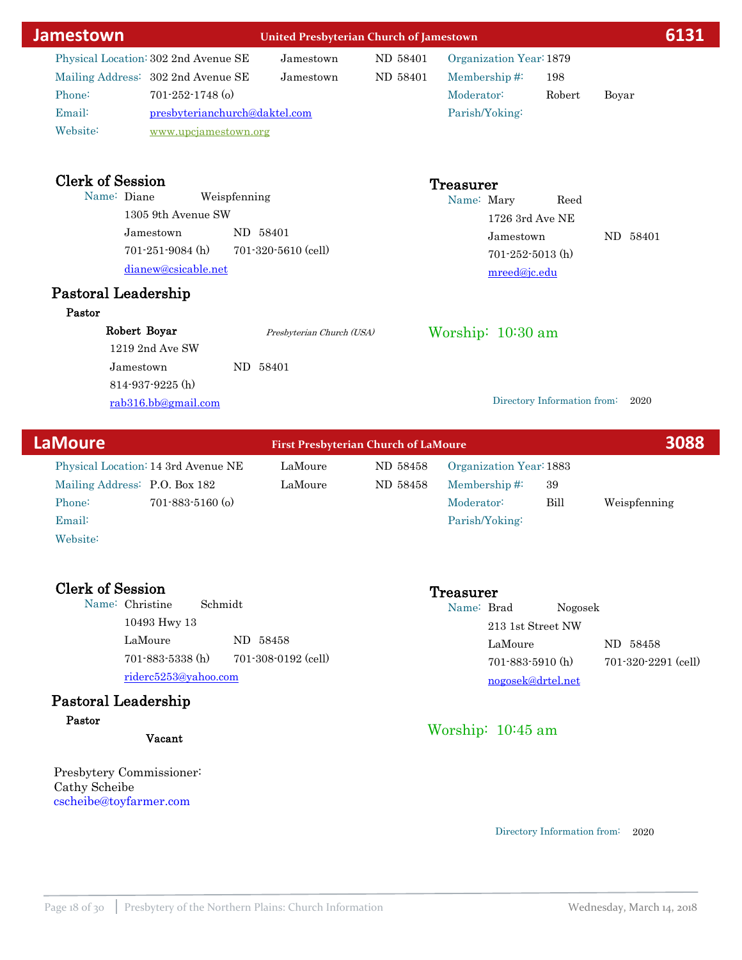| Jamestown                            |                               |              | <b>United Presbyterian Church of Jamestown</b> |          |                     |                         |                             | 6131     |  |
|--------------------------------------|-------------------------------|--------------|------------------------------------------------|----------|---------------------|-------------------------|-----------------------------|----------|--|
| Physical Location: 302 2nd Avenue SE |                               |              | Jamestown                                      | ND 58401 |                     | Organization Year: 1879 |                             |          |  |
| Mailing Address: 302 2nd Avenue SE   |                               |              | Jamestown                                      | ND 58401 |                     | Membership#:            | 198                         |          |  |
| Phone:                               | $701 - 252 - 1748$ (o)        |              |                                                |          | Moderator:          |                         | Robert                      | Boyar    |  |
| Email:                               | presbyterianchurch@daktel.com |              |                                                |          |                     | Parish/Yoking:          |                             |          |  |
| Website:                             | www.upcjamestown.org          |              |                                                |          |                     |                         |                             |          |  |
|                                      |                               |              |                                                |          |                     |                         |                             |          |  |
| <b>Clerk of Session</b>              |                               |              |                                                |          | Treasurer           |                         |                             |          |  |
| Name: Diane                          |                               | Weispfenning |                                                |          |                     | Name: Mary              | Reed                        |          |  |
|                                      | 1305 9th Avenue SW            |              |                                                |          |                     | $1726$ 3rd Ave NE       |                             |          |  |
|                                      | Jamestown                     |              | ND 58401                                       |          |                     | Jamestown               |                             | ND 58401 |  |
|                                      | $701 - 251 - 9084$ (h)        |              | $701 - 320 - 5610$ (cell)                      |          |                     | $701 - 252 - 5013$ (h)  |                             |          |  |
|                                      | dianew@csicable.net           |              |                                                |          |                     | mreed@jc.edu            |                             |          |  |
| Pastoral Leadership                  |                               |              |                                                |          |                     |                         |                             |          |  |
| Pastor                               |                               |              |                                                |          |                     |                         |                             |          |  |
| Robert Boyar                         |                               |              | Presbyterian Church (USA)                      |          | Worship: $10:30$ am |                         |                             |          |  |
|                                      | $1219$ 2nd Ave SW             |              |                                                |          |                     |                         |                             |          |  |
| Jamestown                            |                               |              | ND 58401                                       |          |                     |                         |                             |          |  |
|                                      | $814 - 937 - 9225$ (h)        |              |                                                |          |                     |                         |                             |          |  |
|                                      | rab316.bb@gmail.com           |              |                                                |          |                     |                         | Directory Information from: | 2020     |  |
|                                      |                               |              |                                                |          |                     |                         |                             |          |  |
|                                      |                               |              |                                                |          |                     |                         |                             |          |  |

| <b>LaMoure</b>                      |                        | <b>First Presbyterian Church of LaMoure</b> |                         |      |              |  |
|-------------------------------------|------------------------|---------------------------------------------|-------------------------|------|--------------|--|
| Physical Location: 14 3rd Avenue NE | LaMoure                | ND 58458                                    | Organization Year: 1883 |      |              |  |
| Mailing Address: P.O. Box 182       | LaMoure                | ND 58458                                    | Membership $#$          | 39   |              |  |
| Phone:                              | $701 - 883 - 5160$ (o) |                                             | Moderator:              | Bill | Weispfenning |  |
| Email:                              |                        |                                             | Parish/Yoking:          |      |              |  |
| Website:                            |                        |                                             |                         |      |              |  |

Cherk of Treasurer<br>
Clerk of Schmidt<br>
Clerk of Session Treasurer Name: Christine 10493 Hwy 13 LaMoure ND 58458 riderc5253@yahoo.com 701-883-5338 (h) 701-308-0192 (cell)

### Pastoral Leadership Pastor

Vacant

Presbytery Commissioner: Cathy Scheibe cscheibe@toyfarmer.com

# Name: Brad Nogosek

213 1st Street NW LaMoure ND 58458 nogosek@drtel.net 701-883-5910 (h) 701-320-2291 (cell)

# Worship: 10:45 am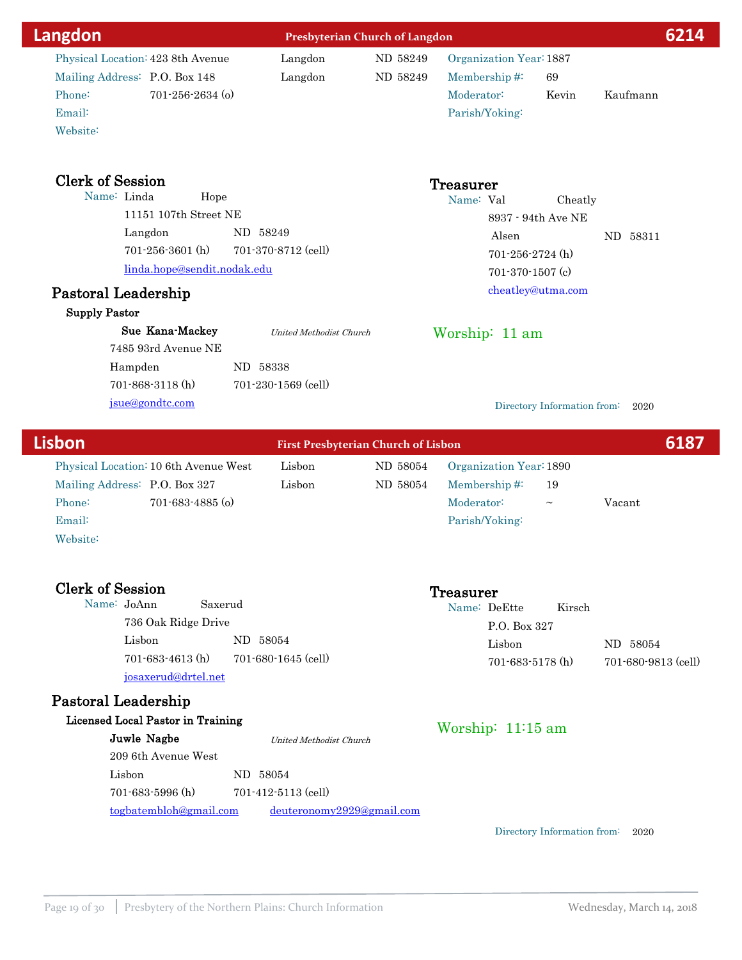| Langdon                               | <b>Presbyterian Church of Langdon</b> |                                |                                            |                         | 6214                        |          |      |
|---------------------------------------|---------------------------------------|--------------------------------|--------------------------------------------|-------------------------|-----------------------------|----------|------|
| Physical Location: 423 8th Avenue     |                                       | Langdon                        | ND 58249                                   | Organization Year: 1887 |                             |          |      |
| Mailing Address: P.O. Box 148         |                                       | Langdon                        | ND 58249                                   | Membership#:            | 69                          |          |      |
| Phone:                                | $701 - 256 - 2634$ (o)                |                                |                                            | Moderator:              | Kevin                       | Kaufmann |      |
| Email:                                |                                       |                                |                                            | Parish/Yoking:          |                             |          |      |
| Website:                              |                                       |                                |                                            |                         |                             |          |      |
| <b>Clerk of Session</b>               |                                       |                                |                                            | <b>Treasurer</b>        |                             |          |      |
| Name: Linda                           | Hope                                  |                                |                                            | Name: Val               | Cheatly                     |          |      |
| 11151 107th Street NE                 |                                       |                                |                                            |                         | 8937 - 94th Ave NE          |          |      |
| Langdon                               | ND 58249                              |                                |                                            | Alsen                   |                             | ND 58311 |      |
| $701 - 256 - 3601$ (h)                |                                       | 701-370-8712 (cell)            |                                            | $701 - 256 - 2724$ (h)  |                             |          |      |
|                                       | linda.hope@sendit.nodak.edu           |                                |                                            | 701-370-1507 (c)        |                             |          |      |
| Pastoral Leadership                   |                                       |                                |                                            |                         | cheatley@utma.com           |          |      |
| <b>Supply Pastor</b>                  |                                       |                                |                                            |                         |                             |          |      |
| Sue Kana-Mackey                       |                                       | <b>United Methodist Church</b> |                                            | Worship: 11 am          |                             |          |      |
| 7485 93rd Avenue NE                   |                                       |                                |                                            |                         |                             |          |      |
| Hampden                               | ND 58338                              |                                |                                            |                         |                             |          |      |
| 701-868-3118 (h)                      |                                       | 701-230-1569 (cell)            |                                            |                         |                             |          |      |
| jsue@gondtc.com                       |                                       |                                |                                            |                         | Directory Information from: | 2020     |      |
| <b>Lisbon</b>                         |                                       |                                | <b>First Presbyterian Church of Lisbon</b> |                         |                             |          | 6187 |
| Physical Location: 10 6th Avenue West |                                       | Lisbon                         | ND 58054                                   | Organization Year: 1890 |                             |          |      |
| Mailing Address: P.O. Box 327         |                                       | Lisbon                         | ND 58054                                   | Membership#:            | 19                          |          |      |
| Phone:                                | 701-683-4885 (o)                      |                                |                                            | Moderator:              | $\thicksim$                 | Vacant   |      |
| Email:                                |                                       |                                |                                            | Parish/Yoking:          |                             |          |      |

Website:

Clerk of Session<br>
Name: JoAnn Saxerud<br>
Name: De Name: JoAnn 736 Oak Ridge Drive Lisbon ND 58054 josaxerud@drtel.net 701-683-4613 (h) 701-680-1645 (cell)

# Pastoral Leadership

# Licensed Local Pastor in Training

| ised Local Pastor in Training |                           | Worship: $11:15$ am |
|-------------------------------|---------------------------|---------------------|
| Juwle Nagbe                   | United Methodist Church   |                     |
| 209 6th Avenue West           |                           |                     |
| Lisbon                        | ND 58054                  |                     |
| $701 - 683 - 5996$ (h)        | $701 - 412 - 5113$ (cell) |                     |
| togbatembloh@gmail.com        | deuteronomy2929@gmail.com |                     |

Directory Information from: 2020

Lisbon ND 58054

701-683-5178 (h) 701-680-9813 (cell)

Name: DeEtte Kirsch P.O. Box 327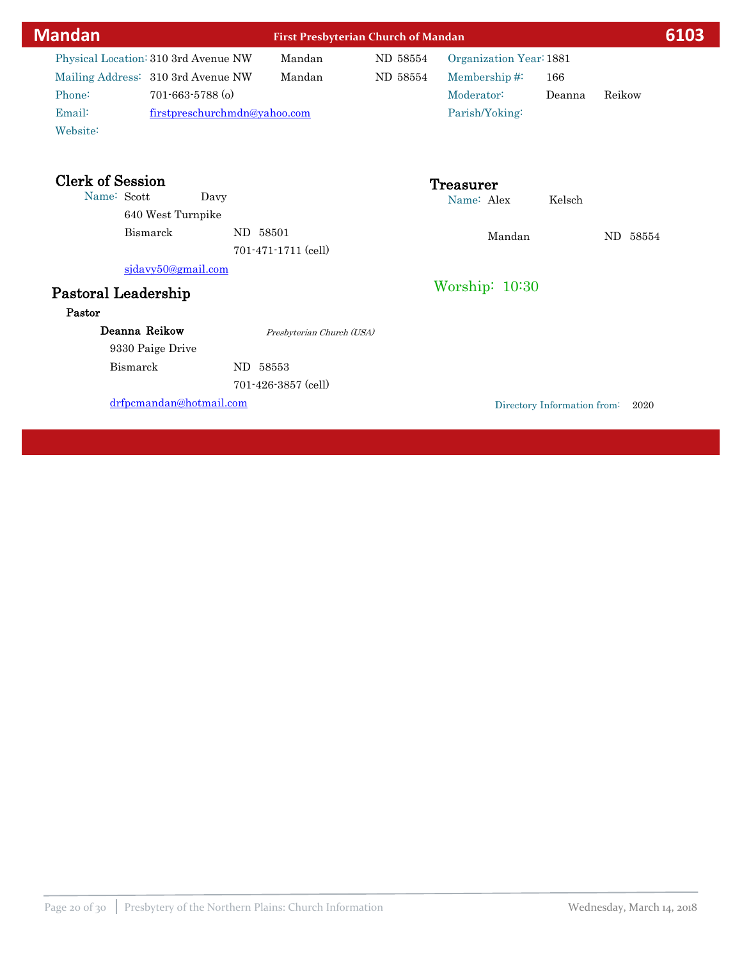| <b>Mandan</b>                                                                                                                                                        |          | <b>First Presbyterian Church of Mandan</b> |                      |                                                                         |                             | 6103     |
|----------------------------------------------------------------------------------------------------------------------------------------------------------------------|----------|--------------------------------------------|----------------------|-------------------------------------------------------------------------|-----------------------------|----------|
| Physical Location: 310 3rd Avenue NW<br>Mailing Address: 310 3rd Avenue NW<br>Phone:<br>$701 - 663 - 5788$ (o)<br>Email:<br>firstpreschurchmdn@yahoo.com<br>Website: |          | Mandan<br>Mandan                           | ND 58554<br>ND 58554 | Organization Year: 1881<br>Membership#:<br>Moderator:<br>Parish/Yoking: | 166<br>Deanna               | Reikow   |
| <b>Clerk of Session</b><br>Name: Scott<br>640 West Turnpike                                                                                                          | Davy     |                                            |                      | <b>Treasurer</b><br>Name: Alex                                          | Kelsch                      |          |
| Bismarck                                                                                                                                                             | ND 58501 | 701-471-1711 (cell)                        |                      | Mandan                                                                  |                             | ND 58554 |
| sjdavy50@gmail.com<br>Pastoral Leadership<br>Pastor                                                                                                                  |          |                                            |                      | Worship: 10:30                                                          |                             |          |
| Deanna Reikow<br>9330 Paige Drive                                                                                                                                    |          | Presbyterian Church (USA)                  |                      |                                                                         |                             |          |
| Bismarck                                                                                                                                                             | ND.      | 58553<br>701-426-3857 (cell)               |                      |                                                                         |                             |          |
| drfpcmandan@hotmail.com                                                                                                                                              |          |                                            |                      |                                                                         | Directory Information from: | 2020     |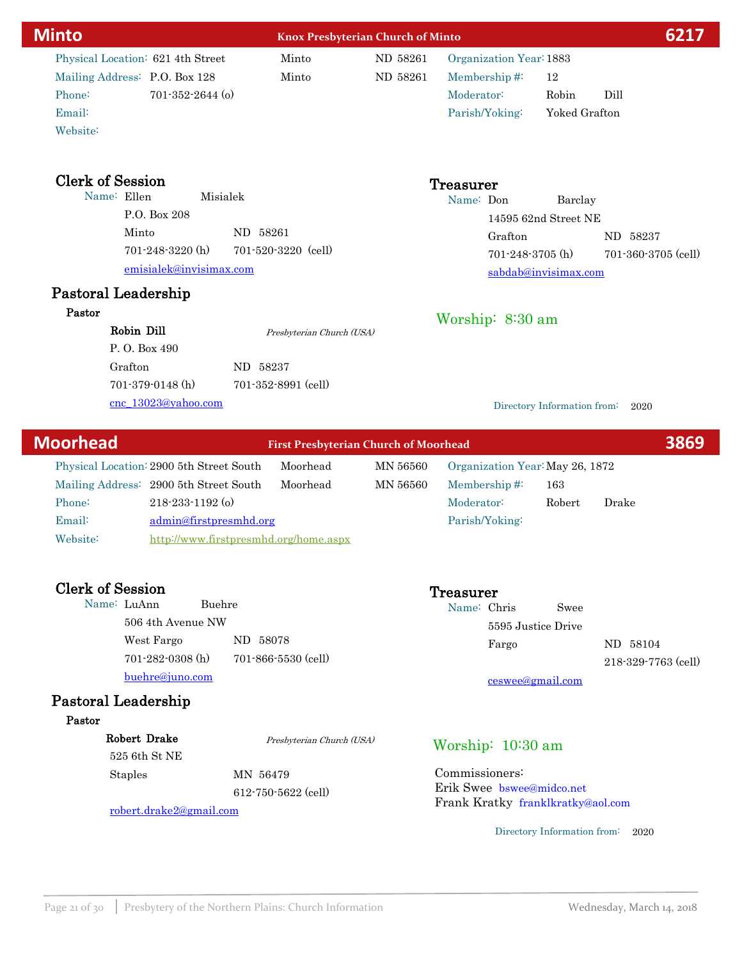| <b>Minto</b>                             |                                              | <b>Knox Presbyterian Church of Minto</b> |                                 |                             | 6217                |
|------------------------------------------|----------------------------------------------|------------------------------------------|---------------------------------|-----------------------------|---------------------|
| Physical Location: 621 4th Street        | Minto                                        | ND 58261                                 | Organization Year: 1883         |                             |                     |
| Mailing Address: P.O. Box 128            | Minto                                        | ND 58261                                 | Membership#:                    | 12                          |                     |
| Phone:<br>$701 - 352 - 2644$ (o)         |                                              |                                          | Moderator:                      | Robin<br>Dill               |                     |
| Email:                                   |                                              |                                          | Parish/Yoking:                  | Yoked Grafton               |                     |
| Website:                                 |                                              |                                          |                                 |                             |                     |
| <b>Clerk of Session</b>                  |                                              |                                          | <b>Treasurer</b>                |                             |                     |
| Name: Ellen<br>Misialek                  |                                              |                                          | Name: Don                       | Barclay                     |                     |
| P.O. Box 208                             |                                              |                                          |                                 | 14595 62nd Street NE        |                     |
| Minto                                    | ND 58261                                     |                                          | Grafton                         |                             | ND 58237            |
| $701 - 248 - 3220$ (h)                   | $701 - 520 - 3220$ (cell)                    |                                          | $701 - 248 - 3705$ (h)          |                             | 701-360-3705 (cell) |
| emisialek@invisimax.com                  |                                              |                                          |                                 | sabdab@invisimax.com        |                     |
| Pastoral Leadership                      |                                              |                                          |                                 |                             |                     |
| Pastor                                   |                                              |                                          | Worship: $8:30$ am              |                             |                     |
| Robin Dill                               | Presbyterian Church (USA)                    |                                          |                                 |                             |                     |
| P.O. Box 490                             |                                              |                                          |                                 |                             |                     |
| Grafton                                  | ND 58237                                     |                                          |                                 |                             |                     |
| $701-379-0148$ (h)                       | 701-352-8991 (cell)                          |                                          |                                 |                             |                     |
| cnc_13023@yahoo.com                      |                                              |                                          |                                 | Directory Information from: | 2020                |
| <b>Moorhead</b>                          | <b>First Presbyterian Church of Moorhead</b> |                                          |                                 |                             | 3869                |
| Physical Location: 2900 5th Street South | Moorhead                                     | MN 56560                                 | Organization Year: May 26, 1872 |                             |                     |

Mailing Address: 2900 5th Street South Moorhead MN 56560 Email: admin@firstpresmhd.org Phone: 218-233-1192 (o) Website: <http://www.firstpresmhd.org/home.aspx>

### Clerk of Session Treasurer

| Name: LuAnn            | Buehre |                     |
|------------------------|--------|---------------------|
| 506 4th Avenue NW      |        |                     |
| West Fargo             |        | ND 58078            |
| $701 - 282 - 0308$ (h) |        | 701-866-5530 (cell) |
| buehre@juno.com        |        |                     |

# Pastoral Leadership

### Pastor

| Robert Drake            | Presbyterian Church (USA) | Worship: $10:30$ am               |
|-------------------------|---------------------------|-----------------------------------|
| 525 6th St NE           |                           |                                   |
| <b>Staples</b>          | MN 56479                  | Commissioners:                    |
|                         | 612-750-5622 (cell)       | Erik Swee bswee@midco.net         |
| robert.drake2@gmail.com |                           | Frank Kratky franklkratky@aol.com |

Directory Information from: 2020

Fargo ND 58104

Membership #: 163

Name: Chris Swee

5595 Justice Drive

Moderator: Robert Drake

ceswee@gmail.com

Parish/Yoking:

218-329-7763 (cell)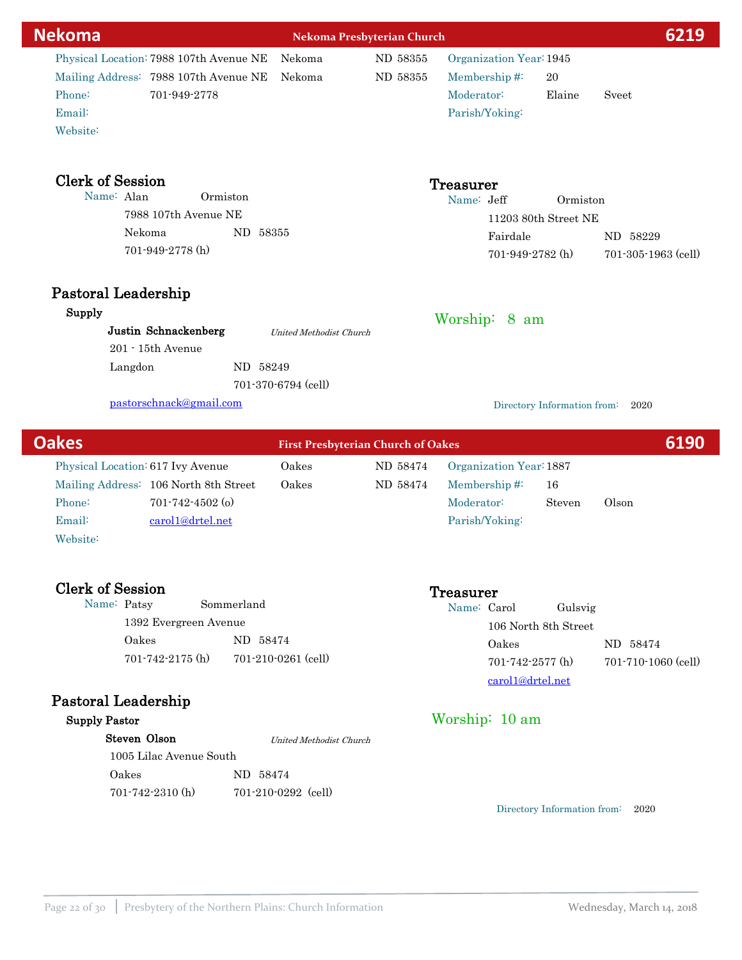| <b>Nekoma</b>                           |                     | Nekoma Presbyterian Church                                      |                                        |                             | 6219                |
|-----------------------------------------|---------------------|-----------------------------------------------------------------|----------------------------------------|-----------------------------|---------------------|
| Physical Location: 7988 107th Avenue NE | Nekoma              | ND 58355                                                        |                                        | Organization Year: 1945     |                     |
| Mailing Address: 7988 107th Avenue NE   | Nekoma              | ND 58355                                                        | Membership#:                           | 20                          |                     |
| Phone:<br>701-949-2778                  |                     |                                                                 | Moderator:                             | Elaine                      | Sveet               |
| Email:                                  |                     |                                                                 | Parish/Yoking:                         |                             |                     |
| Website:                                |                     |                                                                 |                                        |                             |                     |
| <b>Clerk of Session</b>                 |                     |                                                                 | <b>Treasurer</b>                       |                             |                     |
| Name: Alan                              | Ormiston            |                                                                 | Name: Jeff                             | Ormiston                    |                     |
| 7988 107th Avenue NE                    |                     |                                                                 |                                        | 11203 80th Street NE        |                     |
| Nekoma                                  | ND 58355            |                                                                 |                                        | Fairdale                    | ND 58229            |
| 701-949-2778 (h)                        |                     |                                                                 |                                        | $701 - 949 - 2782$ (h)      | 701-305-1963 (cell) |
| Pastoral Leadership                     |                     |                                                                 |                                        |                             |                     |
| Supply                                  |                     |                                                                 | Worship: 8 am                          |                             |                     |
| Justin Schnackenberg                    |                     | United Methodist Church                                         |                                        |                             |                     |
| 201 - 15th Avenue                       |                     |                                                                 |                                        |                             |                     |
| Langdon                                 | ND 58249            |                                                                 |                                        |                             |                     |
|                                         | 701-370-6794 (cell) |                                                                 |                                        |                             |                     |
| pastorschnack@gmail.com                 |                     |                                                                 |                                        | Directory Information from: | 2020                |
| $\bigcap_{n\geq 0}$                     | <b>STORY OF</b>     | $\mathbf{1}$ and $\mathbf{1}$ and $\mathbf{1}$ and $\mathbf{1}$ | $\mathbf{1}$ $\mathbf{1}$ $\mathbf{1}$ |                             | 61 N.N              |

| <b>Oakes</b> |                                   |                                       | <b>First Presbyterian Church of Oakes</b> |          |                         |        |       | 6190 |
|--------------|-----------------------------------|---------------------------------------|-------------------------------------------|----------|-------------------------|--------|-------|------|
|              | Physical Location: 617 Ivy Avenue |                                       | Oakes                                     | ND 58474 | Organization Year: 1887 |        |       |      |
|              |                                   | Mailing Address: 106 North 8th Street | Oakes                                     | ND 58474 | Membership $#$          | 16     |       |      |
|              | Phone:                            | $701 - 742 - 4502$ (o)                |                                           |          | Moderator:              | Steven | Olson |      |
|              | Email:                            | carol1@drtel.net                      |                                           |          | Parish/Yoking:          |        |       |      |
|              | Website:                          |                                       |                                           |          |                         |        |       |      |

# Clerk of Session Treasurer

| Name: Patsy |                        | Sommerland |                       |
|-------------|------------------------|------------|-----------------------|
|             | 1392 Evergreen Avenue  |            |                       |
|             | Oakes                  | ND 58474   |                       |
|             | $701 - 742 - 2175$ (h) |            | $701-210-0261$ (cell) |

# Pastoral Leadership

# Supply Pastor

| Steven Olson            | United Methodist Church |  |
|-------------------------|-------------------------|--|
| 1005 Lilac Avenue South |                         |  |
| Oakes                   | ND 58474                |  |
| $701 - 742 - 2310$ (h)  | $701-210-0292$ (cell)   |  |

Directory Information from: 2020

Oakes ND 58474

701-742-2577 (h) 701-710-1060 (cell)

Name: Carol Gulsvig

carol1@drtel.net

Worship: 10 am

106 North 8th Street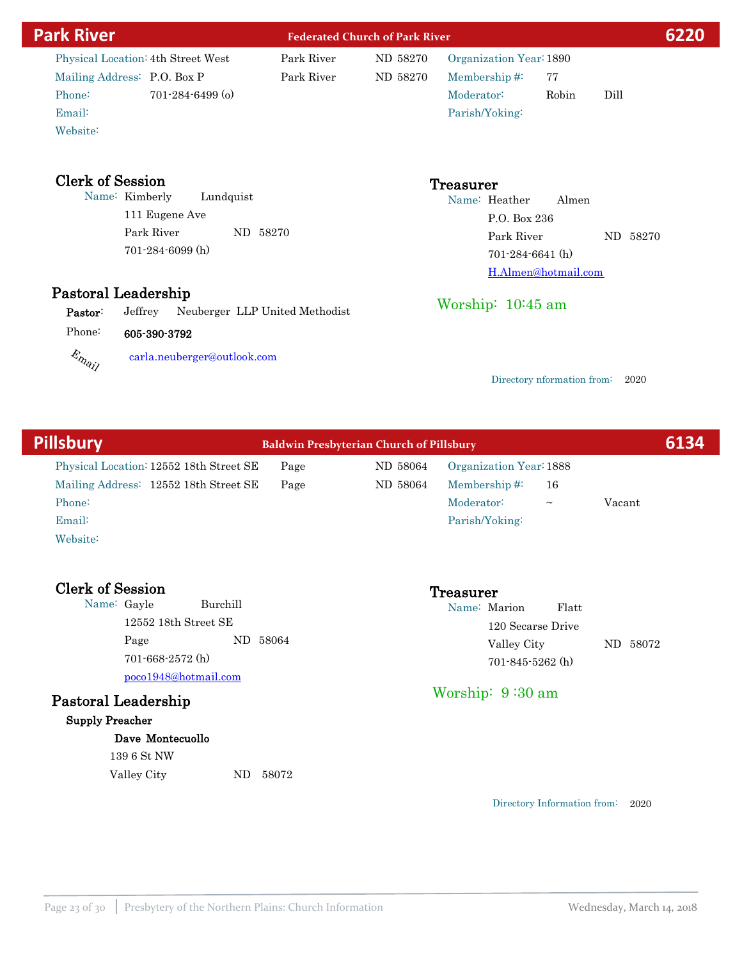| <b>Park River</b>           |                                           |            | <b>Federated Church of Park River</b> | 6220                       |                            |      |
|-----------------------------|-------------------------------------------|------------|---------------------------------------|----------------------------|----------------------------|------|
|                             | Physical Location: 4th Street West        | Park River | ND 58270                              | Organization Year: 1890    |                            |      |
| Mailing Address: P.O. Box P |                                           | Park River | ND 58270                              | Membership#:               | 77                         |      |
| Phone:                      | $701 - 284 - 6499$ (o)                    |            |                                       | Moderator:                 | Robin                      | Dill |
| Email:                      |                                           |            |                                       | Parish/Yoking:             |                            |      |
| Website:                    |                                           |            |                                       |                            |                            |      |
| <b>Clerk of Session</b>     |                                           |            |                                       |                            |                            |      |
| Name: Kimberly              | Lundquist                                 |            |                                       | <b>Treasurer</b>           |                            |      |
|                             | 111 Eugene Ave                            |            |                                       | Name: Heather              | Almen                      |      |
|                             |                                           |            |                                       | P.O. Box 236<br>Park River |                            |      |
| Park River<br>ND 58270      |                                           |            |                                       | ND 58270                   |                            |      |
|                             | 701-284-6099 (h)                          |            |                                       | $701 - 284 - 6641$ (h)     |                            |      |
|                             |                                           |            |                                       |                            | H.Almen@hotmail.com        |      |
| Pastoral Leadership         |                                           |            |                                       |                            |                            |      |
| Pastor:                     | Neuberger LLP United Methodist<br>Jeffrey |            |                                       | Worship: $10:45$ am        |                            |      |
| Phone:                      | 605-390-3792                              |            |                                       |                            |                            |      |
| Email                       | carla.neuberger@outlook.com               |            |                                       |                            |                            |      |
|                             |                                           |            |                                       |                            | Directory nformation from: | 2020 |
|                             |                                           |            |                                       |                            |                            |      |
|                             |                                           |            |                                       |                            |                            |      |

| <b>Pillsbury</b>                                                                                                 | <b>Baldwin Presbyterian Church of Pillsbury</b> |                      |                                                                                   |                   |        | 6134 |
|------------------------------------------------------------------------------------------------------------------|-------------------------------------------------|----------------------|-----------------------------------------------------------------------------------|-------------------|--------|------|
| Physical Location: 12552 18th Street SE<br>Mailing Address: 12552 18th Street SE<br>Phone:<br>Email:<br>Website: | Page<br>Page                                    | ND 58064<br>ND 58064 | Organization Year: 1888<br>Membership# $\ddot{ }$<br>Moderator:<br>Parish/Yoking: | 16<br>$\thicksim$ | Vacant |      |
| <b>Clerk of Session</b><br><b>Burchill</b><br>Name: Gayle<br>$12552$ 18th Street SE                              |                                                 |                      | <b>Treasurer</b><br>Name: Marion<br>120 Secarse Drive                             | Flatt             |        |      |

Pastoral Leadership Page 701-845-5262 (h) ND 58064 poco1948@hotmail.com 701-668-2572 (h) Worship: 9 :30 am

### Supply Preacher

### Dave Montecuollo

139 6 St NW

Valley City ND 58072

Valley City ND 58072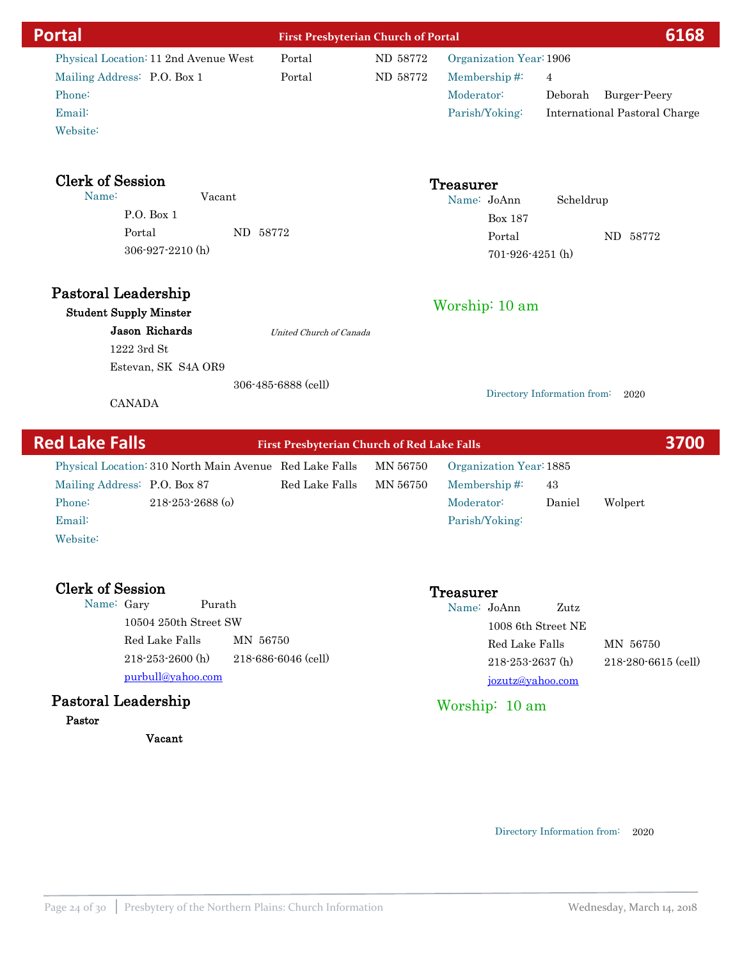| <b>Portal</b>                                        | <b>First Presbyterian Church of Portal</b>  |          |                         | 6168                                 |
|------------------------------------------------------|---------------------------------------------|----------|-------------------------|--------------------------------------|
| Physical Location: 11 2nd Avenue West                | Portal                                      | ND 58772 | Organization Year: 1906 |                                      |
| Mailing Address: P.O. Box 1                          | Portal                                      | ND 58772 | Membership#:            | $\overline{4}$                       |
| Phone:                                               |                                             |          | Moderator:              | Deborah<br>Burger-Peery              |
| Email:                                               |                                             |          | Parish/Yoking:          | <b>International Pastoral Charge</b> |
| Website:                                             |                                             |          |                         |                                      |
| <b>Clerk of Session</b>                              |                                             |          | <b>Treasurer</b>        |                                      |
| Name:<br>Vacant                                      |                                             |          | Name: JoAnn             | Scheldrup                            |
| P.O. Box 1                                           |                                             |          | <b>Box 187</b>          |                                      |
| Portal<br>ND 58772                                   |                                             |          | Portal                  | ND 58772                             |
| 306-927-2210 (h)                                     |                                             |          | $701 - 926 - 4251$ (h)  |                                      |
| Pastoral Leadership<br><b>Student Supply Minster</b> |                                             |          | Worship: 10 am          |                                      |
| Jason Richards                                       | United Church of Canada                     |          |                         |                                      |
| 1222 3rd St                                          |                                             |          |                         |                                      |
| Estevan, SK S4A OR9                                  |                                             |          |                         |                                      |
| <b>CANADA</b>                                        | 306-485-6888 (cell)                         |          |                         | Directory Information from:<br>2020  |
| <b>Rad Lake Falls</b>                                | First Prochytorian Church of Pod Lake Falls |          |                         | <b>3700</b>                          |

| <b>Red Lake Falls</b><br><b>First Presbyterian Church of Red Lake Falls</b> |                                                         |                |          |                         |        | 3700    |  |
|-----------------------------------------------------------------------------|---------------------------------------------------------|----------------|----------|-------------------------|--------|---------|--|
|                                                                             | Physical Location: 310 North Main Avenue Red Lake Falls |                | MN 56750 | Organization Year: 1885 |        |         |  |
|                                                                             | Mailing Address: P.O. Box 87                            | Red Lake Falls | MN 56750 | Membership# $\ddot{ }$  | 43     |         |  |
| Phone:                                                                      | $218 - 253 - 2688$ (o)                                  |                |          | Moderator:              | Daniel | Wolpert |  |
| Email:                                                                      |                                                         |                |          | Parish/Yoking:          |        |         |  |
| Website:                                                                    |                                                         |                |          |                         |        |         |  |
|                                                                             |                                                         |                |          |                         |        |         |  |

| <b>Clerk of Session</b> |                                                                                                  |                                 | <b>Treasurer</b> |                                                                                    |      |                                 |
|-------------------------|--------------------------------------------------------------------------------------------------|---------------------------------|------------------|------------------------------------------------------------------------------------|------|---------------------------------|
| Name: Gary              | Purath<br>10504 250th Street SW<br>Red Lake Falls<br>$218 - 253 - 2600$ (h)<br>purbull@yahoo.com | MN 56750<br>218-686-6046 (cell) | Name: JoAnn      | 1008 6th Street NE<br>Red Lake Falls<br>$218 - 253 - 2637$ (h)<br>jozutz@yahoo.com | Zutz | MN 56750<br>218-280-6615 (cell) |
| Pastoral Leadership     |                                                                                                  |                                 |                  | Worship: 10 am                                                                     |      |                                 |
| Pastor                  |                                                                                                  |                                 |                  |                                                                                    |      |                                 |

Vacant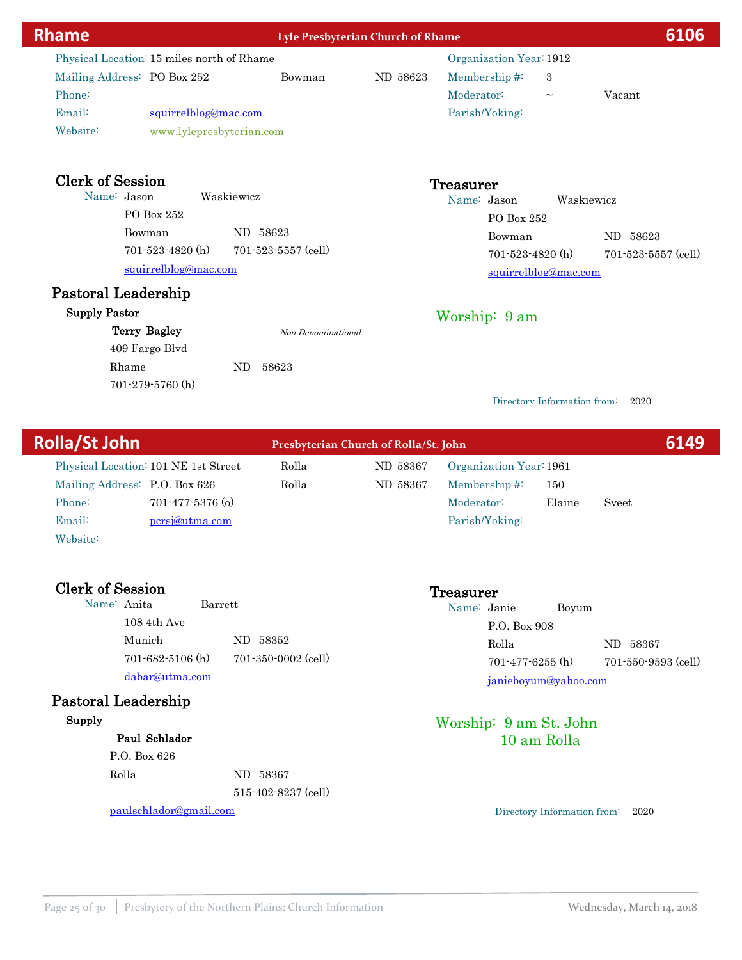| <b>Rhame</b>                                                                                                                                                  | Lyle Presbyterian Church of Rhame |          |                                                                                   |                                    | 6106                                  |
|---------------------------------------------------------------------------------------------------------------------------------------------------------------|-----------------------------------|----------|-----------------------------------------------------------------------------------|------------------------------------|---------------------------------------|
| Physical Location: 15 miles north of Rhame<br>Mailing Address: PO Box 252<br>Phone:<br>Email:<br>squirrelblog@mac.com<br>Website:<br>www.lylepresbyterian.com | Bowman                            | ND 58623 | Organization Year: 1912<br>Membership#:<br>Moderator:<br>Parish/Yoking:           | 3<br>$\thicksim$                   | Vacant                                |
| <b>Clerk of Session</b><br>Name: Jason<br>Waskiewicz<br>PO Box 252<br>Bowman<br>ND 58623<br>$701 - 523 - 4820$ (h)<br>squirrelblog@mac.com                    | $701 - 523 - 5557$ (cell)         |          | <b>Treasurer</b><br>Name: Jason<br>PO Box 252<br>Bowman<br>$701 - 523 - 4820$ (h) | Waskiewicz<br>squirrelblog@mac.com | ND 58623<br>$701 - 523 - 5557$ (cell) |
| Pastoral Leadership<br><b>Supply Pastor</b><br><b>Terry Bagley</b><br>409 Fargo Blvd<br>Rhame<br>ND<br>701-279-5760 (h)                                       | Non Denominational<br>58623       |          | Worship: 9 am                                                                     | Directory Information from:        | 2020                                  |

| <b>Rolla/St John</b> |                               |                                      | Presbyterian Church of Rolla/St. John |          |                         |        |       | 6149 |
|----------------------|-------------------------------|--------------------------------------|---------------------------------------|----------|-------------------------|--------|-------|------|
|                      |                               | Physical Location: 101 NE 1st Street | Rolla                                 | ND 58367 | Organization Year: 1961 |        |       |      |
|                      | Mailing Address: P.O. Box 626 |                                      | Rolla                                 | ND 58367 | Membership# $\ddot{=}$  | 150    |       |      |
|                      | Phone:                        | $701 - 477 - 5376$ (o)               |                                       |          | Moderator:              | Elaine | Sveet |      |
|                      | Email:                        | persj@utma.com                       |                                       |          | Parish/Yoking:          |        |       |      |
|                      | Website:                      |                                      |                                       |          |                         |        |       |      |

| <b>Clerk of Session</b> |                     | <b>Treasurer</b> |                        |       |                     |
|-------------------------|---------------------|------------------|------------------------|-------|---------------------|
| Name: Anita<br>Barrett  |                     | Name: Janie      |                        | Boyum |                     |
| $108$ 4th Ave           |                     |                  | P.O. Box 908           |       |                     |
| Munich                  | ND 58352            |                  | Rolla                  |       | 58367<br>ND         |
| $701 - 682 - 5106$ (h)  | 701-350-0002 (cell) |                  | $701 - 477 - 6255$ (h) |       | 701-550-9593 (cell) |
| dabar@utma.com          |                     |                  | janieboyum@yahoo.com   |       |                     |
| Pastoral Leadership     |                     |                  |                        |       |                     |
| Supply                  |                     |                  | Worship: 9 am St. John |       |                     |
| Paul Schlador           |                     |                  | 10 am Rolla            |       |                     |
| P.O. Box 626            |                     |                  |                        |       |                     |
| Rolla                   | ND 58367            |                  |                        |       |                     |
|                         | 515-402-8237 (cell) |                  |                        |       |                     |

paulschlador@gmail.com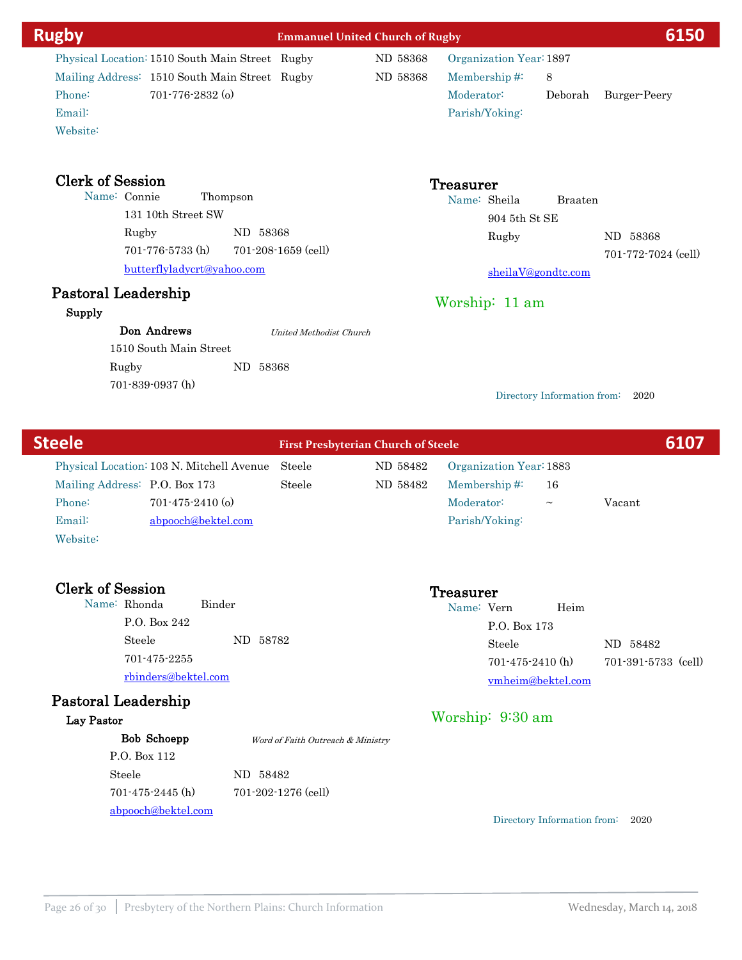| <b>Clerk of Session</b><br><b>Treasurer</b><br>Name: Connie<br>Thompson<br>Name: Sheila<br><b>Braaten</b><br>131 10th Street SW<br>904 5th St SE<br>ND 58368<br>Rugby<br>Rugby<br>ND 58368<br>701-776-5733 (h)<br>701-208-1659 (cell)<br>701-772-7024 (cell)<br>butterflyladycrt@yahoo.com<br>sheilaV@gondtc.com<br>Pastoral Leadership<br>Worship: 11 am<br>Supply<br>Don Andrews<br>United Methodist Church<br>1510 South Main Street<br>ND 58368<br>Rugby<br>701-839-0937 (h)<br>Directory Information from: 2020<br><b>Steele</b><br><b>First Presbyterian Church of Steele</b><br>Steele<br>Physical Location: 103 N. Mitchell Avenue<br>ND 58482<br>Organization Year: 1883<br>Mailing Address: P.O. Box 173<br>Steele<br>ND 58482<br>Membership#:<br>16<br>Phone:<br>Moderator:<br>$701 - 475 - 2410$ (o)<br>Vacant<br>$\thicksim$<br>Email:<br>abpooch@bektel.com<br>Parish/Yoking:<br>Website:<br><b>Clerk of Session</b><br><b>Treasurer</b><br>Name: Rhonda<br>Binder<br>Name: Vern<br>Heim<br>P.O. Box 242<br>P.O. Box 173<br>Steele<br>ND 58782<br>Steele<br>ND 58482<br>701-475-2255<br>$701 - 475 - 2410$ (h)<br>701-391-5733 (cell)<br>rbinders@bektel.com<br>vmheim@bektel.com<br><b>Pastoral Leadership</b><br>Worship: 9:30 am<br>Lay Pastor<br>Bob Schoepp<br>Word of Faith Outreach & Ministry<br>P.O. Box 112<br>Steele<br>ND 58482<br>$701 - 475 - 2445$ (h)<br>701-202-1276 (cell)<br>abpooch@bektel.com<br>Directory Information from:<br>2020 | Website: |  |  |  |
|-------------------------------------------------------------------------------------------------------------------------------------------------------------------------------------------------------------------------------------------------------------------------------------------------------------------------------------------------------------------------------------------------------------------------------------------------------------------------------------------------------------------------------------------------------------------------------------------------------------------------------------------------------------------------------------------------------------------------------------------------------------------------------------------------------------------------------------------------------------------------------------------------------------------------------------------------------------------------------------------------------------------------------------------------------------------------------------------------------------------------------------------------------------------------------------------------------------------------------------------------------------------------------------------------------------------------------------------------------------------------------------------------------------------------------------------------------------------------|----------|--|--|--|
| 6107                                                                                                                                                                                                                                                                                                                                                                                                                                                                                                                                                                                                                                                                                                                                                                                                                                                                                                                                                                                                                                                                                                                                                                                                                                                                                                                                                                                                                                                                    |          |  |  |  |
|                                                                                                                                                                                                                                                                                                                                                                                                                                                                                                                                                                                                                                                                                                                                                                                                                                                                                                                                                                                                                                                                                                                                                                                                                                                                                                                                                                                                                                                                         |          |  |  |  |
|                                                                                                                                                                                                                                                                                                                                                                                                                                                                                                                                                                                                                                                                                                                                                                                                                                                                                                                                                                                                                                                                                                                                                                                                                                                                                                                                                                                                                                                                         |          |  |  |  |
|                                                                                                                                                                                                                                                                                                                                                                                                                                                                                                                                                                                                                                                                                                                                                                                                                                                                                                                                                                                                                                                                                                                                                                                                                                                                                                                                                                                                                                                                         |          |  |  |  |
|                                                                                                                                                                                                                                                                                                                                                                                                                                                                                                                                                                                                                                                                                                                                                                                                                                                                                                                                                                                                                                                                                                                                                                                                                                                                                                                                                                                                                                                                         |          |  |  |  |
|                                                                                                                                                                                                                                                                                                                                                                                                                                                                                                                                                                                                                                                                                                                                                                                                                                                                                                                                                                                                                                                                                                                                                                                                                                                                                                                                                                                                                                                                         |          |  |  |  |
|                                                                                                                                                                                                                                                                                                                                                                                                                                                                                                                                                                                                                                                                                                                                                                                                                                                                                                                                                                                                                                                                                                                                                                                                                                                                                                                                                                                                                                                                         |          |  |  |  |
|                                                                                                                                                                                                                                                                                                                                                                                                                                                                                                                                                                                                                                                                                                                                                                                                                                                                                                                                                                                                                                                                                                                                                                                                                                                                                                                                                                                                                                                                         |          |  |  |  |
|                                                                                                                                                                                                                                                                                                                                                                                                                                                                                                                                                                                                                                                                                                                                                                                                                                                                                                                                                                                                                                                                                                                                                                                                                                                                                                                                                                                                                                                                         |          |  |  |  |
|                                                                                                                                                                                                                                                                                                                                                                                                                                                                                                                                                                                                                                                                                                                                                                                                                                                                                                                                                                                                                                                                                                                                                                                                                                                                                                                                                                                                                                                                         |          |  |  |  |
|                                                                                                                                                                                                                                                                                                                                                                                                                                                                                                                                                                                                                                                                                                                                                                                                                                                                                                                                                                                                                                                                                                                                                                                                                                                                                                                                                                                                                                                                         |          |  |  |  |
|                                                                                                                                                                                                                                                                                                                                                                                                                                                                                                                                                                                                                                                                                                                                                                                                                                                                                                                                                                                                                                                                                                                                                                                                                                                                                                                                                                                                                                                                         |          |  |  |  |
|                                                                                                                                                                                                                                                                                                                                                                                                                                                                                                                                                                                                                                                                                                                                                                                                                                                                                                                                                                                                                                                                                                                                                                                                                                                                                                                                                                                                                                                                         |          |  |  |  |
|                                                                                                                                                                                                                                                                                                                                                                                                                                                                                                                                                                                                                                                                                                                                                                                                                                                                                                                                                                                                                                                                                                                                                                                                                                                                                                                                                                                                                                                                         |          |  |  |  |
|                                                                                                                                                                                                                                                                                                                                                                                                                                                                                                                                                                                                                                                                                                                                                                                                                                                                                                                                                                                                                                                                                                                                                                                                                                                                                                                                                                                                                                                                         |          |  |  |  |
|                                                                                                                                                                                                                                                                                                                                                                                                                                                                                                                                                                                                                                                                                                                                                                                                                                                                                                                                                                                                                                                                                                                                                                                                                                                                                                                                                                                                                                                                         |          |  |  |  |
|                                                                                                                                                                                                                                                                                                                                                                                                                                                                                                                                                                                                                                                                                                                                                                                                                                                                                                                                                                                                                                                                                                                                                                                                                                                                                                                                                                                                                                                                         |          |  |  |  |
|                                                                                                                                                                                                                                                                                                                                                                                                                                                                                                                                                                                                                                                                                                                                                                                                                                                                                                                                                                                                                                                                                                                                                                                                                                                                                                                                                                                                                                                                         |          |  |  |  |
|                                                                                                                                                                                                                                                                                                                                                                                                                                                                                                                                                                                                                                                                                                                                                                                                                                                                                                                                                                                                                                                                                                                                                                                                                                                                                                                                                                                                                                                                         |          |  |  |  |
|                                                                                                                                                                                                                                                                                                                                                                                                                                                                                                                                                                                                                                                                                                                                                                                                                                                                                                                                                                                                                                                                                                                                                                                                                                                                                                                                                                                                                                                                         |          |  |  |  |
|                                                                                                                                                                                                                                                                                                                                                                                                                                                                                                                                                                                                                                                                                                                                                                                                                                                                                                                                                                                                                                                                                                                                                                                                                                                                                                                                                                                                                                                                         |          |  |  |  |
|                                                                                                                                                                                                                                                                                                                                                                                                                                                                                                                                                                                                                                                                                                                                                                                                                                                                                                                                                                                                                                                                                                                                                                                                                                                                                                                                                                                                                                                                         |          |  |  |  |
|                                                                                                                                                                                                                                                                                                                                                                                                                                                                                                                                                                                                                                                                                                                                                                                                                                                                                                                                                                                                                                                                                                                                                                                                                                                                                                                                                                                                                                                                         |          |  |  |  |
|                                                                                                                                                                                                                                                                                                                                                                                                                                                                                                                                                                                                                                                                                                                                                                                                                                                                                                                                                                                                                                                                                                                                                                                                                                                                                                                                                                                                                                                                         |          |  |  |  |
|                                                                                                                                                                                                                                                                                                                                                                                                                                                                                                                                                                                                                                                                                                                                                                                                                                                                                                                                                                                                                                                                                                                                                                                                                                                                                                                                                                                                                                                                         |          |  |  |  |
|                                                                                                                                                                                                                                                                                                                                                                                                                                                                                                                                                                                                                                                                                                                                                                                                                                                                                                                                                                                                                                                                                                                                                                                                                                                                                                                                                                                                                                                                         |          |  |  |  |
|                                                                                                                                                                                                                                                                                                                                                                                                                                                                                                                                                                                                                                                                                                                                                                                                                                                                                                                                                                                                                                                                                                                                                                                                                                                                                                                                                                                                                                                                         |          |  |  |  |
|                                                                                                                                                                                                                                                                                                                                                                                                                                                                                                                                                                                                                                                                                                                                                                                                                                                                                                                                                                                                                                                                                                                                                                                                                                                                                                                                                                                                                                                                         |          |  |  |  |
|                                                                                                                                                                                                                                                                                                                                                                                                                                                                                                                                                                                                                                                                                                                                                                                                                                                                                                                                                                                                                                                                                                                                                                                                                                                                                                                                                                                                                                                                         |          |  |  |  |
|                                                                                                                                                                                                                                                                                                                                                                                                                                                                                                                                                                                                                                                                                                                                                                                                                                                                                                                                                                                                                                                                                                                                                                                                                                                                                                                                                                                                                                                                         |          |  |  |  |

Membership #: 8

Moderator: Deborah Burger-Peery

Parish/Yoking:

Mailing Address: 1510 South Main Street Rugby ND 58368

Email:

Phone: 701-776-2832 (o)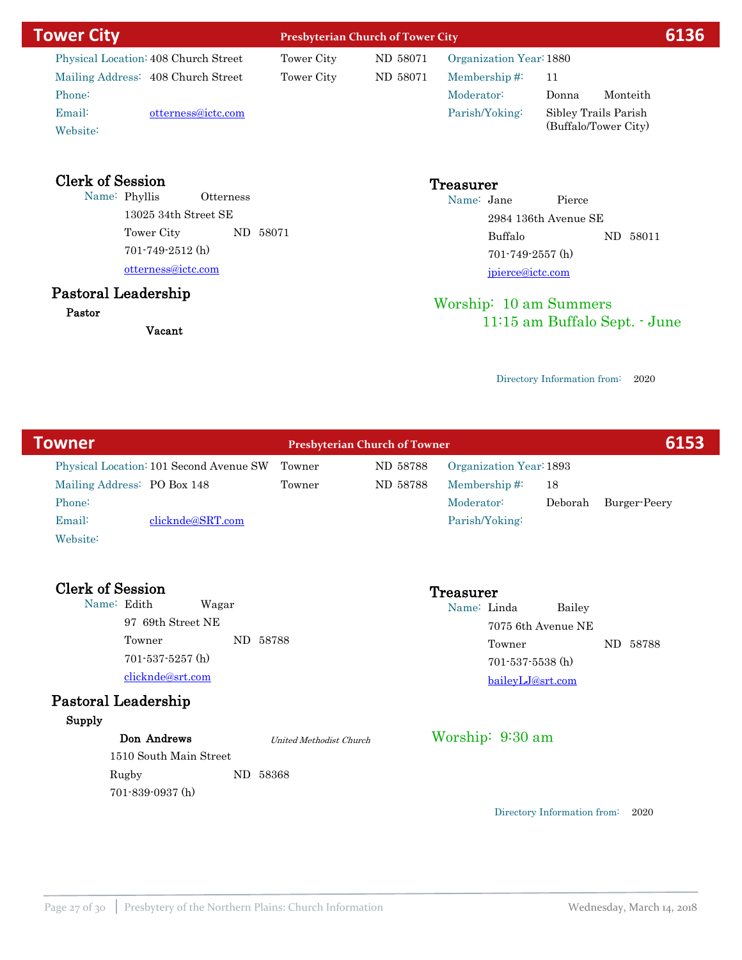| <b>Tower City</b>      |                                                                                                                                                                                                 |                      | <b>Presbyterian Church of Tower City</b> |                      |                                                                                                                                                                  |  |  |
|------------------------|-------------------------------------------------------------------------------------------------------------------------------------------------------------------------------------------------|----------------------|------------------------------------------|----------------------|------------------------------------------------------------------------------------------------------------------------------------------------------------------|--|--|
|                        | Tower City                                                                                                                                                                                      | ND 58071             |                                          |                      |                                                                                                                                                                  |  |  |
|                        | Tower City                                                                                                                                                                                      | ND 58071             | Membership#:                             | 11                   |                                                                                                                                                                  |  |  |
|                        |                                                                                                                                                                                                 |                      | Moderator:                               | Donna<br>Monteith    |                                                                                                                                                                  |  |  |
|                        |                                                                                                                                                                                                 |                      | Parish/Yoking:                           | Sibley Trails Parish |                                                                                                                                                                  |  |  |
|                        |                                                                                                                                                                                                 |                      |                                          |                      |                                                                                                                                                                  |  |  |
| <b>Otterness</b>       |                                                                                                                                                                                                 |                      | Name: Jane                               | Pierce               |                                                                                                                                                                  |  |  |
| $13025$ 34th Street SE |                                                                                                                                                                                                 | 2984 136th Avenue SE |                                          |                      |                                                                                                                                                                  |  |  |
|                        |                                                                                                                                                                                                 |                      | Buffalo                                  | ND 58011             |                                                                                                                                                                  |  |  |
|                        |                                                                                                                                                                                                 |                      |                                          |                      |                                                                                                                                                                  |  |  |
|                        |                                                                                                                                                                                                 |                      |                                          |                      |                                                                                                                                                                  |  |  |
|                        |                                                                                                                                                                                                 |                      |                                          |                      |                                                                                                                                                                  |  |  |
|                        | Physical Location: 408 Church Street<br>Mailing Address: 408 Church Street<br>otterness@ictc.com<br>Tower City<br>$701 - 749 - 2512$ (h)<br>otterness@ictc.com<br>Pastoral Leadership<br>Vacant | ND 58071             |                                          | Treasurer            | 6136<br>Organization Year: 1880<br>(Buffalo/Tower City)<br>$701 - 749 - 2557$ (h)<br>jpierce@ictc.com<br>Worship: 10 am Summers<br>11:15 am Buffalo Sept. - June |  |  |

| <b>Towner</b>                           | <b>Presbyterian Church of Towner</b> |          |                         |                             | 6153         |
|-----------------------------------------|--------------------------------------|----------|-------------------------|-----------------------------|--------------|
| Physical Location: 101 Second Avenue SW | Towner                               | ND 58788 | Organization Year: 1893 |                             |              |
| Mailing Address: PO Box 148             | Towner                               | ND 58788 | Membership#:            | 18                          |              |
| Phone:                                  |                                      |          | Moderator:              | Deborah                     | Burger-Peery |
| Email:<br>clicknde@SRT.com              |                                      |          | Parish/Yoking:          |                             |              |
| Website:                                |                                      |          |                         |                             |              |
| <b>Clerk of Session</b>                 |                                      |          | Treasurer               |                             |              |
| Name: Edith<br>Wagar                    |                                      |          | Name: Linda             | Bailey                      |              |
| 97 69th Street NE                       |                                      |          |                         | 7075 6th Avenue NE          |              |
| ND 58788<br>Towner                      |                                      |          | Towner                  |                             | ND 58788     |
| $701 - 537 - 5257$ (h)                  |                                      |          | $701 - 537 - 5538$ (h)  |                             |              |
| clicknde@srt.com                        |                                      |          | baileyLJ@srt.com        |                             |              |
| Pastoral Leadership                     |                                      |          |                         |                             |              |
| Supply                                  |                                      |          |                         |                             |              |
| Don Andrews                             | United Methodist Church              |          | Worship: 9:30 am        |                             |              |
| 1510 South Main Street                  |                                      |          |                         |                             |              |
| Rugby<br>ND 58368                       |                                      |          |                         |                             |              |
| 701-839-0937 (h)                        |                                      |          |                         |                             |              |
|                                         |                                      |          |                         | Directory Information from: | 2020         |
|                                         |                                      |          |                         |                             |              |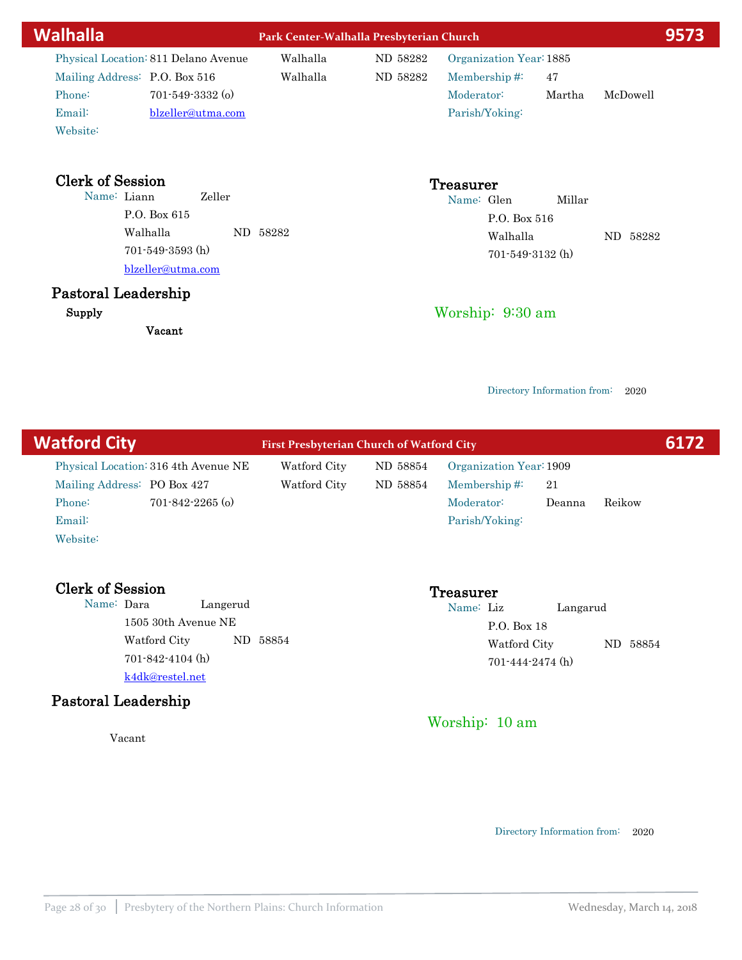| Walhalla                                         | Park Center-Walhalla Presbyterian Church |          |                            |        | 9573     |
|--------------------------------------------------|------------------------------------------|----------|----------------------------|--------|----------|
| Physical Location: 811 Delano Avenue             | Walhalla                                 | ND 58282 | Organization Year: 1885    |        |          |
| Mailing Address: P.O. Box 516                    | Walhalla                                 | ND 58282 | Membership#:               | 47     |          |
| 701-549-3332 (o)<br>Phone:                       |                                          |          | Moderator:                 | Martha | McDowell |
| Email:<br>blzeller@utma.com                      |                                          |          | Parish/Yoking:             |        |          |
| Website:                                         |                                          |          |                            |        |          |
| <b>Clerk of Session</b><br>Name: Liann<br>Zeller |                                          |          | <b>Treasurer</b>           |        |          |
| P.O. Box 615                                     |                                          |          | Name: Glen<br>P.O. Box 516 | Millar |          |
| Walhalla                                         | ND 58282                                 |          | Walhalla                   |        |          |
| 701-549-3593 (h)                                 |                                          |          | $701 - 549 - 3132$ (h)     |        | ND 58282 |
| blzeller@utma.com                                |                                          |          |                            |        |          |
| Pastoral Leadership                              |                                          |          |                            |        |          |
| Supply                                           |                                          |          | Worship: 9:30 am           |        |          |
| Vacant                                           |                                          |          |                            |        |          |
|                                                  |                                          |          |                            |        |          |

| <b>Watford City</b>                               | <b>First Presbyterian Church of Watford City</b> |          |                         |          |        | 6172 |
|---------------------------------------------------|--------------------------------------------------|----------|-------------------------|----------|--------|------|
| Physical Location: 316 4th Avenue NE              | Watford City                                     | ND 58854 | Organization Year: 1909 |          |        |      |
| Mailing Address: PO Box 427                       | Watford City                                     | ND 58854 | Membership# $\ddot{ }$  | 21       |        |      |
| $701 - 842 - 2265$ (o)<br>Phone:                  |                                                  |          | Moderator:              | Deanna   | Reikow |      |
| Email:                                            |                                                  |          | Parish/Yoking:          |          |        |      |
| Website:                                          |                                                  |          |                         |          |        |      |
|                                                   |                                                  |          |                         |          |        |      |
| <b>Clerk of Session</b><br>Name: Dara<br>Langerud |                                                  |          | Treasurer<br>Name: Liz  | Langarud |        |      |

1505 30th Avenue NE Watford City ND 58854 k4dk@restel.net 701-842-4104 (h)

# Pastoral Leadership

Vacant

P.O. Box 18

701-444-2474 (h)

Worship: 10 am

Directory Information from: 2020

Watford City ND 58854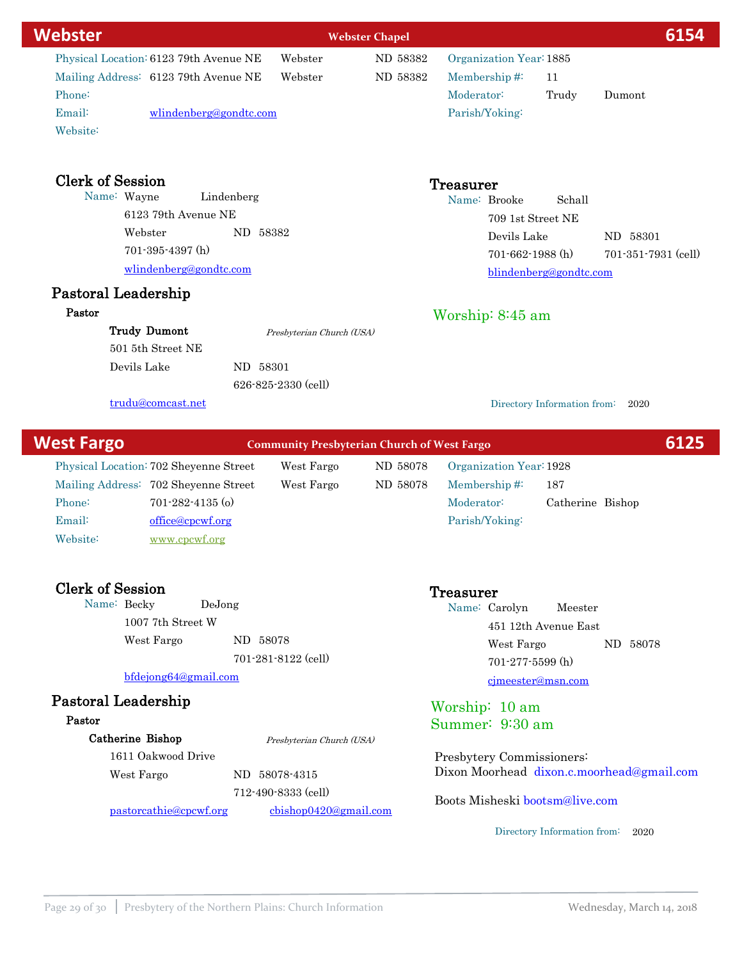| <b>Webster</b>                         |                                                    | <b>Webster Chapel</b> |                         |                             | 6154                |
|----------------------------------------|----------------------------------------------------|-----------------------|-------------------------|-----------------------------|---------------------|
| Physical Location: 6123 79th Avenue NE | Webster                                            | ND 58382              | Organization Year: 1885 |                             |                     |
| Mailing Address: 6123 79th Avenue NE   | Webster                                            | ND 58382              | Membership#:            | 11                          |                     |
| Phone:                                 |                                                    |                       | Moderator:              | Trudy                       | Dumont              |
| Email:<br>wlindenberg@gondtc.com       |                                                    |                       | Parish/Yoking:          |                             |                     |
| Website:                               |                                                    |                       |                         |                             |                     |
| <b>Clerk of Session</b>                |                                                    |                       | Treasurer               |                             |                     |
| Name: Wayne<br>Lindenberg              |                                                    |                       | Name: Brooke            | Schall                      |                     |
| 6123 79th Avenue NE                    |                                                    |                       |                         | 709 1st Street NE           |                     |
| Webster<br>ND 58382                    |                                                    |                       | Devils Lake             |                             | ND 58301            |
| $701-395-4397$ (h)                     |                                                    |                       |                         | $701 - 662 - 1988$ (h)      | 701-351-7931 (cell) |
| wlindenberg@gondtc.com                 |                                                    |                       |                         | blindenberg@gondtc.com      |                     |
| Pastoral Leadership                    |                                                    |                       |                         |                             |                     |
| Pastor                                 |                                                    |                       | Worship: $8:45$ am      |                             |                     |
| <b>Trudy Dumont</b>                    | Presbyterian Church (USA)                          |                       |                         |                             |                     |
| 501 5th Street NE                      |                                                    |                       |                         |                             |                     |
| Devils Lake<br>ND 58301                |                                                    |                       |                         |                             |                     |
|                                        | 626-825-2330 (cell)                                |                       |                         |                             |                     |
| trudu@comcast.net                      |                                                    |                       |                         | Directory Information from: | 2020                |
| <b>West Fargo</b>                      | <b>Community Presbyterian Church of West Fargo</b> |                       |                         |                             | 6125                |

Physical Location: 702 Sheyenne Street West Fargo ND 58078 Mailing Address: 702 Sheyenne Street West Fargo ND 58078 Email: office@cpcwf.org Phone: 701-282-4135 (o) Website: [www.cpcwf.org](http://www.cpcwf.org)

Clerk of Session<br>
Name: Becky DeJong<br>
Name: Cong<br>
Name: Cong Name: Becky 1007 7th Street W West Fargo ND 58078 701-281-8122 (cell)

bfdejong64@gmail.com

### Pastoral Leadership

### Pastor

Catherine Bishop

1611 Oakwood Drive Presbyterian Church (USA)

West Fargo ND 58078-4315

712-490-8333 (cell)

pastorcathie@cpcwf.org cbishop0420@gmail.com

Boots Misheski bootsm@live.com

Presbytery Commissioners:

Worship: 10 am Summer: 9:30 am

Membership #: 187 Organization Year:1928

Name: Carolyn Meester

451 12th Avenue East

Moderator: Catherine Bishop

cjmeester@msn.com 701-277-5599 (h)

West Fargo ND 58078

Parish/Yoking:

Directory Information from: 2020

Dixon Moorhead dixon.c.moorhead@gmail.com